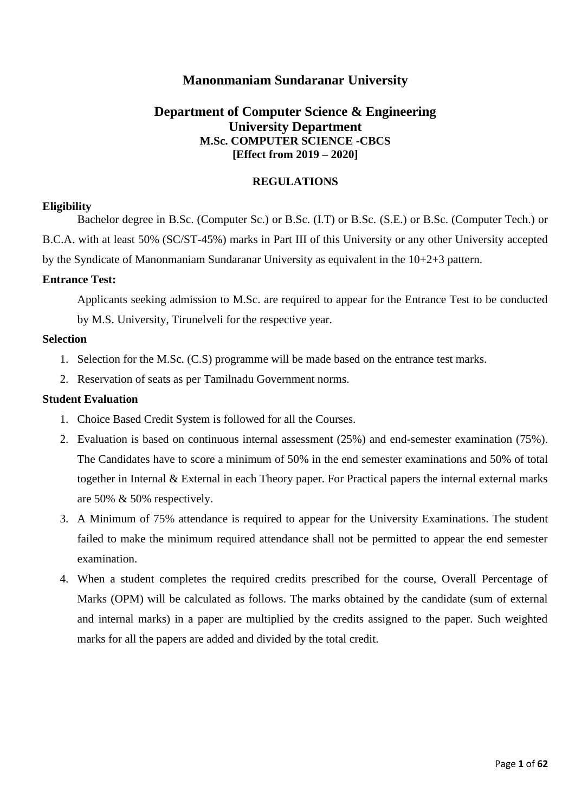## **Manonmaniam Sundaranar University**

## **Department of Computer Science & Engineering University Department M.Sc. COMPUTER SCIENCE -CBCS [Effect from 2019 – 2020]**

#### **REGULATIONS**

#### **Eligibility**

Bachelor degree in B.Sc. (Computer Sc.) or B.Sc. (I.T) or B.Sc. (S.E.) or B.Sc. (Computer Tech.) or B.C.A. with at least 50% (SC/ST-45%) marks in Part III of this University or any other University accepted by the Syndicate of Manonmaniam Sundaranar University as equivalent in the 10+2+3 pattern.

#### **Entrance Test:**

Applicants seeking admission to M.Sc. are required to appear for the Entrance Test to be conducted by M.S. University, Tirunelveli for the respective year.

## **Selection**

- 1. Selection for the M.Sc. (C.S) programme will be made based on the entrance test marks.
- 2. Reservation of seats as per Tamilnadu Government norms.

#### **Student Evaluation**

- 1. Choice Based Credit System is followed for all the Courses.
- 2. Evaluation is based on continuous internal assessment (25%) and end-semester examination (75%). The Candidates have to score a minimum of 50% in the end semester examinations and 50% of total together in Internal & External in each Theory paper. For Practical papers the internal external marks are 50% & 50% respectively.
- 3. A Minimum of 75% attendance is required to appear for the University Examinations. The student failed to make the minimum required attendance shall not be permitted to appear the end semester examination.
- 4. When a student completes the required credits prescribed for the course, Overall Percentage of Marks (OPM) will be calculated as follows. The marks obtained by the candidate (sum of external and internal marks) in a paper are multiplied by the credits assigned to the paper. Such weighted marks for all the papers are added and divided by the total credit.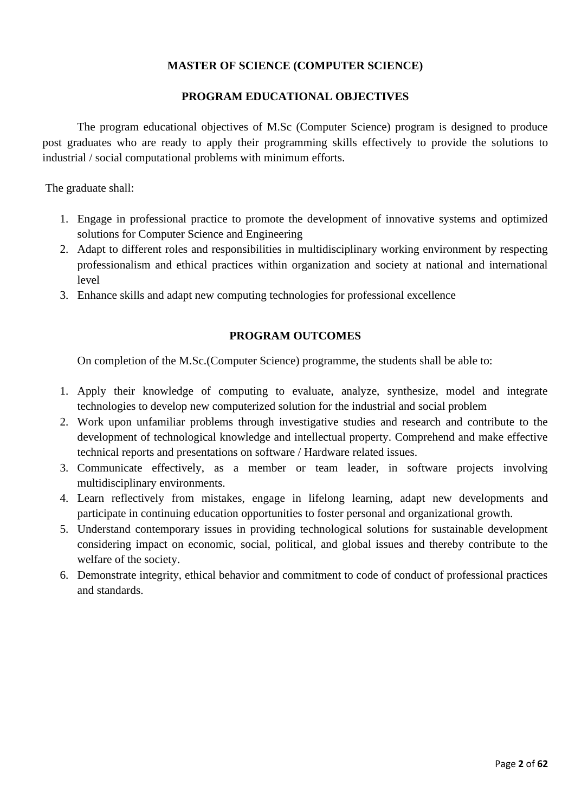## **MASTER OF SCIENCE (COMPUTER SCIENCE)**

## **PROGRAM EDUCATIONAL OBJECTIVES**

The program educational objectives of M.Sc (Computer Science) program is designed to produce post graduates who are ready to apply their programming skills effectively to provide the solutions to industrial / social computational problems with minimum efforts.

The graduate shall:

- 1. Engage in professional practice to promote the development of innovative systems and optimized solutions for Computer Science and Engineering
- 2. Adapt to different roles and responsibilities in multidisciplinary working environment by respecting professionalism and ethical practices within organization and society at national and international level
- 3. Enhance skills and adapt new computing technologies for professional excellence

## **PROGRAM OUTCOMES**

On completion of the M.Sc.(Computer Science) programme, the students shall be able to:

- 1. Apply their knowledge of computing to evaluate, analyze, synthesize, model and integrate technologies to develop new computerized solution for the industrial and social problem
- 2. Work upon unfamiliar problems through investigative studies and research and contribute to the development of technological knowledge and intellectual property. Comprehend and make effective technical reports and presentations on software / Hardware related issues.
- 3. Communicate effectively, as a member or team leader, in software projects involving multidisciplinary environments.
- 4. Learn reflectively from mistakes, engage in lifelong learning, adapt new developments and participate in continuing education opportunities to foster personal and organizational growth.
- 5. Understand contemporary issues in providing technological solutions for sustainable development considering impact on economic, social, political, and global issues and thereby contribute to the welfare of the society.
- 6. Demonstrate integrity, ethical behavior and commitment to code of conduct of professional practices and standards.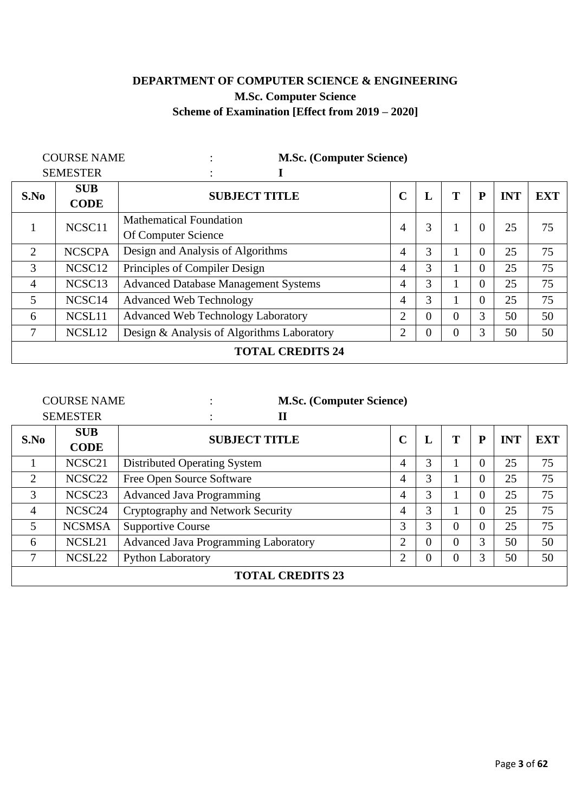# **DEPARTMENT OF COMPUTER SCIENCE & ENGINEERING M.Sc. Computer Science Scheme of Examination [Effect from 2019 – 2020]**

| <b>COURSE NAME</b> |                    | <b>M.Sc. (Computer Science)</b>             |                |                |                |                |            |            |
|--------------------|--------------------|---------------------------------------------|----------------|----------------|----------------|----------------|------------|------------|
| <b>SEMESTER</b>    |                    |                                             |                |                |                |                |            |            |
| S.No               | <b>SUB</b>         | <b>SUBJECT TITLE</b>                        | $\mathbf C$    | L              | T              | P              | <b>INT</b> | <b>EXT</b> |
|                    | <b>CODE</b>        |                                             |                |                |                |                |            |            |
|                    | NCSC <sub>11</sub> | <b>Mathematical Foundation</b>              |                | 3              |                | $\overline{0}$ | 25         | 75         |
|                    |                    | Of Computer Science                         | 4              |                |                |                |            |            |
| 2                  | <b>NCSCPA</b>      | Design and Analysis of Algorithms           | 4              | 3              |                | $\theta$       | 25         | 75         |
| 3                  | NCSC <sub>12</sub> | Principles of Compiler Design               | 4              | 3              |                | $\theta$       | 25         | 75         |
| $\overline{4}$     | NCSC <sub>13</sub> | <b>Advanced Database Management Systems</b> | 4              | 3              |                | $\theta$       | 25         | 75         |
| 5                  | NCSC <sub>14</sub> | <b>Advanced Web Technology</b>              | 4              | 3              |                | $\overline{0}$ | 25         | 75         |
| 6                  | NCSL11             | <b>Advanced Web Technology Laboratory</b>   | $\overline{2}$ | $\overline{0}$ | $\Omega$       | 3              | 50         | 50         |
| 7                  | NCSL <sub>12</sub> | Design & Analysis of Algorithms Laboratory  | 2              | $\overline{0}$ | $\overline{0}$ | 3              | 50         | 50         |
|                    |                    | <b>TOTAL CREDITS 24</b>                     |                |                |                |                |            |            |

| <b>COURSE NAME</b>      |                    | <b>M.Sc. (Computer Science)</b>             |                |                  |          |          |            |            |
|-------------------------|--------------------|---------------------------------------------|----------------|------------------|----------|----------|------------|------------|
| <b>SEMESTER</b>         |                    | $\mathbf{I}$                                |                |                  |          |          |            |            |
| S.No                    | <b>SUB</b>         | <b>SUBJECT TITLE</b>                        | $\mathbf C$    | L                | T        | P        | <b>INT</b> | <b>EXT</b> |
|                         | <b>CODE</b>        |                                             |                |                  |          |          |            |            |
|                         | NCSC <sub>21</sub> | <b>Distributed Operating System</b>         | 4              | 3                |          | 0        | 25         | 75         |
| $\overline{2}$          | NCSC <sub>22</sub> | Free Open Source Software                   | 4              | 3                |          | 0        | 25         | 75         |
| 3                       | NCSC <sub>23</sub> | <b>Advanced Java Programming</b>            | 4              | 3                |          | 0        | 25         | 75         |
| $\overline{4}$          | NCSC <sub>24</sub> | Cryptography and Network Security           | 4              | 3                |          | 0        | 25         | 75         |
| 5                       | <b>NCSMSA</b>      | <b>Supportive Course</b>                    | 3              | 3                | $\Omega$ | $\Omega$ | 25         | 75         |
| 6                       | NCSL21             | <b>Advanced Java Programming Laboratory</b> | $\overline{2}$ | $\boldsymbol{0}$ | $\theta$ | 3        | 50         | 50         |
| 7                       | NCSL <sub>22</sub> | <b>Python Laboratory</b>                    | $\overline{2}$ | $\boldsymbol{0}$ | 0        | 3        | 50         | 50         |
| <b>TOTAL CREDITS 23</b> |                    |                                             |                |                  |          |          |            |            |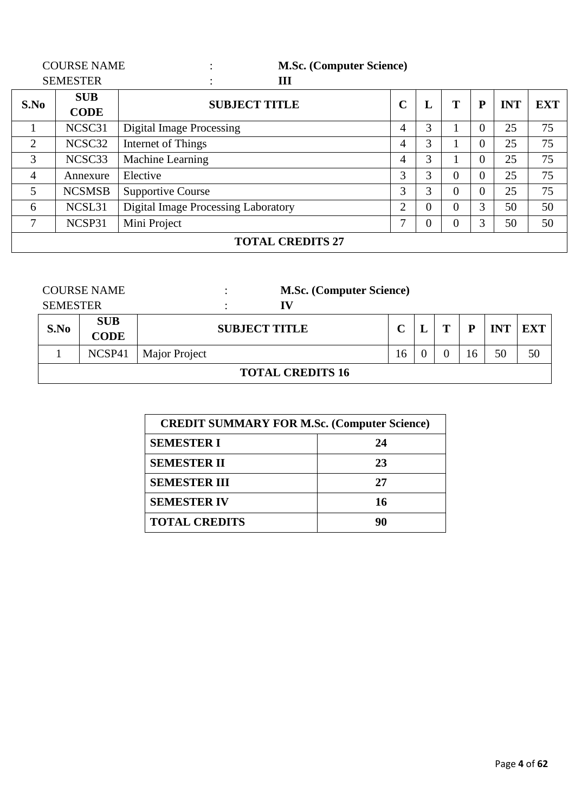| <b>COURSE NAME</b>      |                 | <b>M.Sc. (Computer Science)</b>            |                |                |                |          |            |            |
|-------------------------|-----------------|--------------------------------------------|----------------|----------------|----------------|----------|------------|------------|
|                         | <b>SEMESTER</b> | Ш                                          |                |                |                |          |            |            |
| S.No                    | <b>SUB</b>      | <b>SUBJECT TITLE</b>                       | $\sim$         | L              | T              | P        | <b>INT</b> | <b>EXT</b> |
|                         | <b>CODE</b>     |                                            |                |                |                |          |            |            |
|                         | NCSC31          | Digital Image Processing                   | 4              | 3              |                | $\Omega$ | 25         | 75         |
| $\overline{2}$          | NCSC32          | Internet of Things                         | 4              | 3              |                | $\Omega$ | 25         | 75         |
| 3                       | NCSC33          | Machine Learning                           | 4              | 3              |                | $\Omega$ | 25         | 75         |
| $\overline{4}$          | Annexure        | Elective                                   | 3              | 3              | $\overline{0}$ | $\Omega$ | 25         | 75         |
| 5                       | <b>NCSMSB</b>   | <b>Supportive Course</b>                   | 3              | 3              | $\overline{0}$ | $\Omega$ | 25         | 75         |
| 6                       | NCSL31          | <b>Digital Image Processing Laboratory</b> | $\overline{2}$ | $\overline{0}$ | $\overline{0}$ | 3        | 50         | 50         |
| 7                       | NCSP31          | Mini Project                               | 7              | $\overline{0}$ | $\overline{0}$ | 3        | 50         | 50         |
| <b>TOTAL CREDITS 27</b> |                 |                                            |                |                |                |          |            |            |

|                         | <b>COURSE NAME</b>        |               |  |  | <b>M.Sc. (Computer Science)</b> |     |  |   |    |            |            |
|-------------------------|---------------------------|---------------|--|--|---------------------------------|-----|--|---|----|------------|------------|
| <b>SEMESTER</b>         |                           |               |  |  | IV                              |     |  |   |    |            |            |
| S.No                    | <b>SUB</b><br><b>CODE</b> |               |  |  | <b>SUBJECT TITLE</b>            |     |  | т | P  | <b>INT</b> | <b>EXT</b> |
|                         | NCSP41                    | Major Project |  |  |                                 | 16. |  |   | .6 | 50         | 50         |
| <b>TOTAL CREDITS 16</b> |                           |               |  |  |                                 |     |  |   |    |            |            |

| <b>CREDIT SUMMARY FOR M.Sc. (Computer Science)</b> |    |  |  |  |  |  |
|----------------------------------------------------|----|--|--|--|--|--|
| <b>SEMESTER I</b>                                  | 24 |  |  |  |  |  |
| <b>SEMESTER II</b>                                 | 23 |  |  |  |  |  |
| <b>SEMESTER III</b>                                | 27 |  |  |  |  |  |
| <b>SEMESTER IV</b><br>16                           |    |  |  |  |  |  |
| <b>TOTAL CREDITS</b><br>90                         |    |  |  |  |  |  |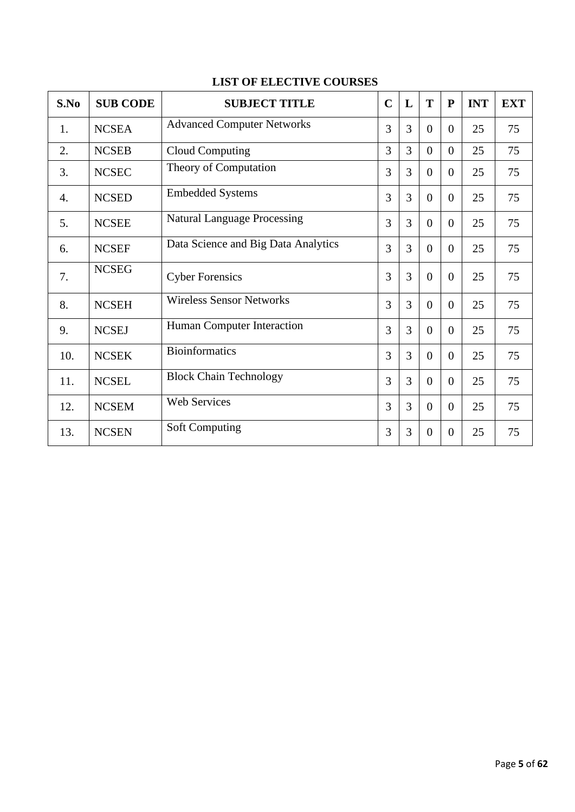| S.No | <b>SUB CODE</b> | <b>SUBJECT TITLE</b>                | $\mathbf C$ | L | T                | $\mathbf{P}$     | <b>INT</b> | <b>EXT</b> |
|------|-----------------|-------------------------------------|-------------|---|------------------|------------------|------------|------------|
| 1.   | <b>NCSEA</b>    | <b>Advanced Computer Networks</b>   | 3           | 3 | $\overline{0}$   | $\overline{0}$   | 25         | 75         |
| 2.   | <b>NCSEB</b>    | <b>Cloud Computing</b>              | 3           | 3 | $\overline{0}$   | $\overline{0}$   | 25         | 75         |
| 3.   | <b>NCSEC</b>    | Theory of Computation               | 3           | 3 | $\overline{0}$   | $\theta$         | 25         | 75         |
| 4.   | <b>NCSED</b>    | <b>Embedded Systems</b>             | 3           | 3 | $\overline{0}$   | $\overline{0}$   | 25         | 75         |
| 5.   | <b>NCSEE</b>    | <b>Natural Language Processing</b>  | 3           | 3 | $\overline{0}$   | $\overline{0}$   | 25         | 75         |
| 6.   | <b>NCSEF</b>    | Data Science and Big Data Analytics | 3           | 3 | $\boldsymbol{0}$ | $\boldsymbol{0}$ | 25         | 75         |
| 7.   | <b>NCSEG</b>    | <b>Cyber Forensics</b>              | 3           | 3 | $\overline{0}$   | $\overline{0}$   | 25         | 75         |
| 8.   | <b>NCSEH</b>    | <b>Wireless Sensor Networks</b>     | 3           | 3 | $\overline{0}$   | $\overline{0}$   | 25         | 75         |
| 9.   | <b>NCSEJ</b>    | Human Computer Interaction          | 3           | 3 | $\theta$         | $\overline{0}$   | 25         | 75         |
| 10.  | <b>NCSEK</b>    | <b>Bioinformatics</b>               | 3           | 3 | $\overline{0}$   | $\overline{0}$   | 25         | 75         |
| 11.  | <b>NCSEL</b>    | <b>Block Chain Technology</b>       | 3           | 3 | $\overline{0}$   | $\overline{0}$   | 25         | 75         |
| 12.  | <b>NCSEM</b>    | <b>Web Services</b>                 | 3           | 3 | $\Omega$         | $\overline{0}$   | 25         | 75         |
| 13.  | <b>NCSEN</b>    | <b>Soft Computing</b>               | 3           | 3 | $\overline{0}$   | $\boldsymbol{0}$ | 25         | 75         |

## **LIST OF ELECTIVE COURSES**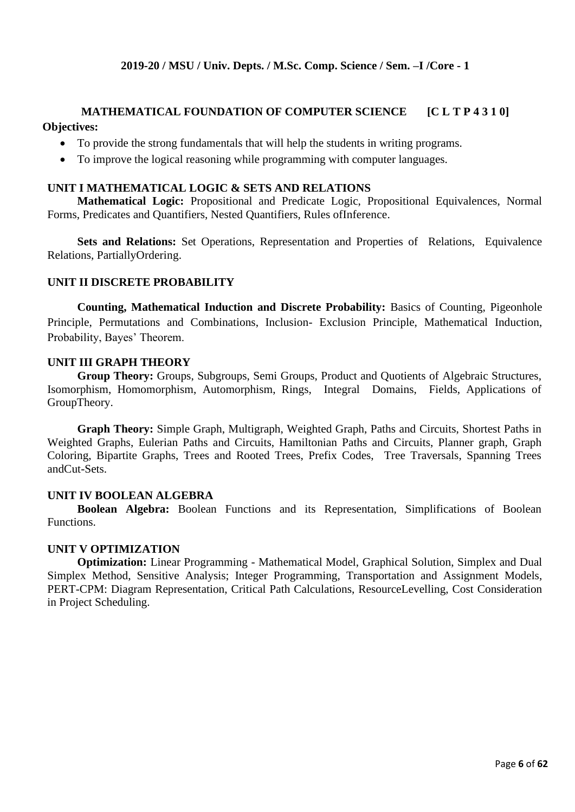## **MATHEMATICAL FOUNDATION OF COMPUTER SCIENCE [C L T P 4 3 1 0] Objectives:**

- To provide the strong fundamentals that will help the students in writing programs.
- To improve the logical reasoning while programming with computer languages.

#### **UNIT I MATHEMATICAL LOGIC & SETS AND RELATIONS**

**Mathematical Logic:** Propositional and Predicate Logic, Propositional Equivalences, Normal Forms, Predicates and Quantifiers, Nested Quantifiers, Rules ofInference.

**Sets and Relations:** Set Operations, Representation and Properties of Relations, Equivalence Relations, PartiallyOrdering.

#### **UNIT II DISCRETE PROBABILITY**

**Counting, Mathematical Induction and Discrete Probability:** Basics of Counting, Pigeonhole Principle, Permutations and Combinations, Inclusion- Exclusion Principle, Mathematical Induction, Probability, Bayes' Theorem.

#### **UNIT III GRAPH THEORY**

**Group Theory:** Groups, Subgroups, Semi Groups, Product and Quotients of Algebraic Structures, Isomorphism, Homomorphism, Automorphism, Rings, Integral Domains, Fields, Applications of GroupTheory.

**Graph Theory:** Simple Graph, Multigraph, Weighted Graph, Paths and Circuits, Shortest Paths in Weighted Graphs, Eulerian Paths and Circuits, Hamiltonian Paths and Circuits, Planner graph, Graph Coloring, Bipartite Graphs, Trees and Rooted Trees, Prefix Codes, Tree Traversals, Spanning Trees andCut-Sets.

#### **UNIT IV BOOLEAN ALGEBRA**

**Boolean Algebra:** Boolean Functions and its Representation, Simplifications of Boolean Functions.

#### **UNIT V OPTIMIZATION**

**Optimization:** Linear Programming - Mathematical Model, Graphical Solution, Simplex and Dual Simplex Method, Sensitive Analysis; Integer Programming, Transportation and Assignment Models, PERT-CPM: Diagram Representation, Critical Path Calculations, ResourceLevelling, Cost Consideration in Project Scheduling.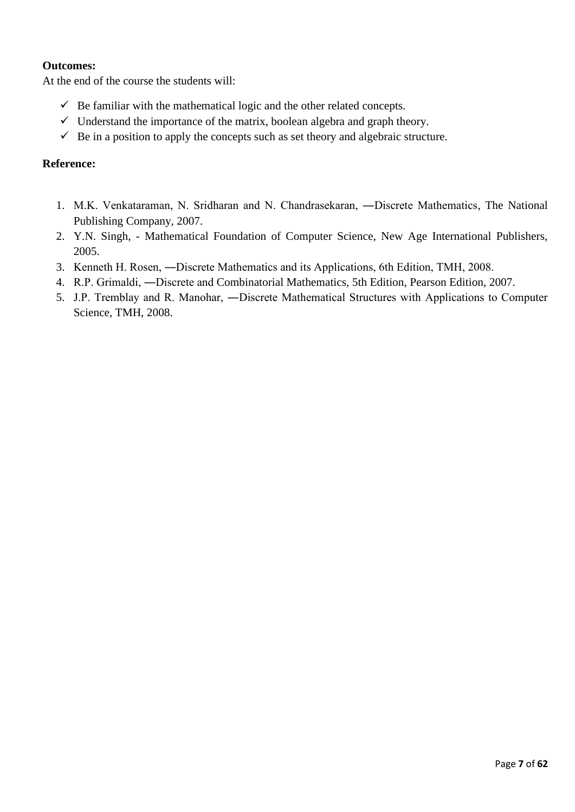## **Outcomes:**

At the end of the course the students will:

- $\checkmark$  Be familiar with the mathematical logic and the other related concepts.
- $\checkmark$  Understand the importance of the matrix, boolean algebra and graph theory.
- $\checkmark$  Be in a position to apply the concepts such as set theory and algebraic structure.

## **Reference:**

- 1. M.K. Venkataraman, N. Sridharan and N. Chandrasekaran, ―Discrete Mathematics, The National Publishing Company, 2007.
- 2. Y.N. Singh, Mathematical Foundation of Computer Science, New Age International Publishers, 2005.
- 3. Kenneth H. Rosen, ―Discrete Mathematics and its Applications, 6th Edition, TMH, 2008.
- 4. R.P. Grimaldi, ―Discrete and Combinatorial Mathematics, 5th Edition, Pearson Edition, 2007.
- 5. J.P. Tremblay and R. Manohar, ―Discrete Mathematical Structures with Applications to Computer Science, TMH, 2008.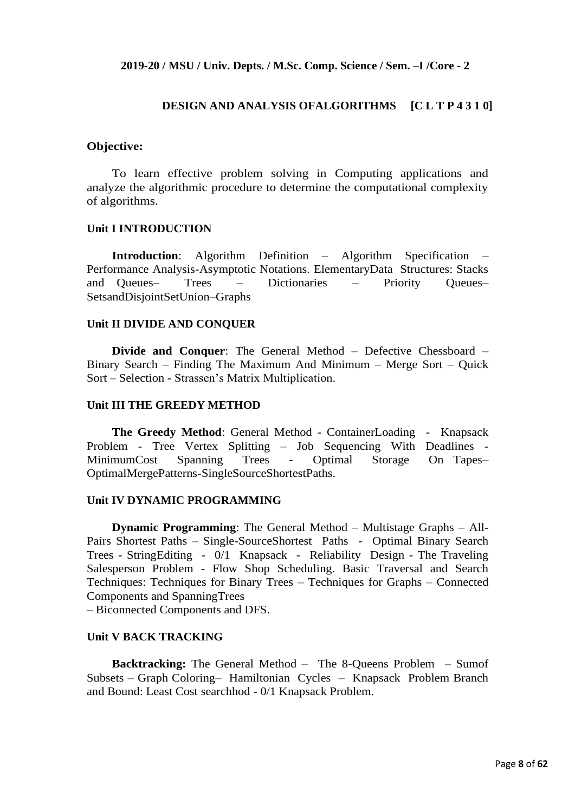#### **2019-20 / MSU / Univ. Depts. / M.Sc. Comp. Science / Sem. –I /Core - 2**

#### **DESIGN AND ANALYSIS OFALGORITHMS [C L T P 4 3 1 0]**

#### **Objective:**

To learn effective problem solving in Computing applications and analyze the algorithmic procedure to determine the computational complexity of algorithms.

#### **Unit I INTRODUCTION**

**Introduction**: Algorithm Definition – Algorithm Specification – Performance Analysis-Asymptotic Notations. ElementaryData Structures: Stacks and Queues– Trees – Dictionaries – Priority Queues– SetsandDisjointSetUnion–Graphs

#### **Unit II DIVIDE AND CONQUER**

**Divide and Conquer**: The General Method – Defective Chessboard – Binary Search – Finding The Maximum And Minimum – Merge Sort – Quick Sort – Selection - Strassen's Matrix Multiplication.

#### **Unit III THE GREEDY METHOD**

**The Greedy Method**: General Method - ContainerLoading - Knapsack Problem - Tree Vertex Splitting – Job Sequencing With Deadlines - MinimumCost Spanning Trees - Optimal Storage On Tapes– OptimalMergePatterns-SingleSourceShortestPaths.

#### **Unit IV DYNAMIC PROGRAMMING**

**Dynamic Programming**: The General Method – Multistage Graphs – All-Pairs Shortest Paths – Single-SourceShortest Paths - Optimal Binary Search Trees - StringEditing - 0/1 Knapsack - Reliability Design - The Traveling Salesperson Problem - Flow Shop Scheduling. Basic Traversal and Search Techniques: Techniques for Binary Trees – Techniques for Graphs – Connected Components and SpanningTrees

– Biconnected Components and DFS.

#### **Unit V BACK TRACKING**

**Backtracking:** The General Method – The 8-Queens Problem – Sumof Subsets – Graph Coloring– Hamiltonian Cycles – Knapsack Problem Branch and Bound: Least Cost searchhod - 0/1 Knapsack Problem.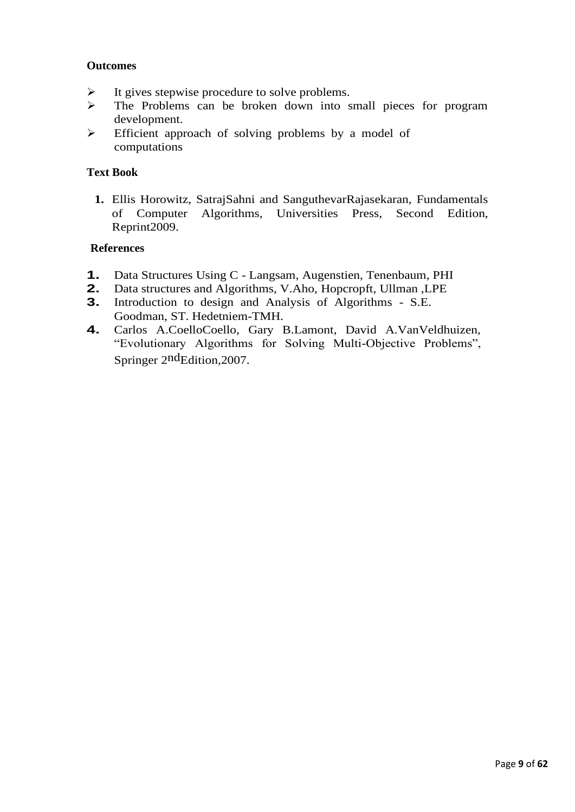## **Outcomes**

- $\triangleright$  It gives stepwise procedure to solve problems.
- ➢ The Problems can be broken down into small pieces for program development.
- ➢ Efficient approach of solving problems by a model of computations

## **Text Book**

**1.** Ellis Horowitz, SatrajSahni and SanguthevarRajasekaran, Fundamentals of Computer Algorithms, Universities Press, Second Edition, Reprint2009.

## **References**

- **1.** Data Structures Using C Langsam, Augenstien, Tenenbaum, PHI
- **2.** Data structures and Algorithms, V.Aho, Hopcropft, Ullman ,LPE<br>**3.** Introduction to design and Analysis of Algorithms S.E.
- **3.** Introduction to design and Analysis of Algorithms S.E. Goodman, ST. Hedetniem-TMH.
- **4.** Carlos A.CoelloCoello, Gary B.Lamont, David A.VanVeldhuizen, "Evolutionary Algorithms for Solving Multi-Objective Problems", Springer 2<sup>nd</sup>Edition, 2007.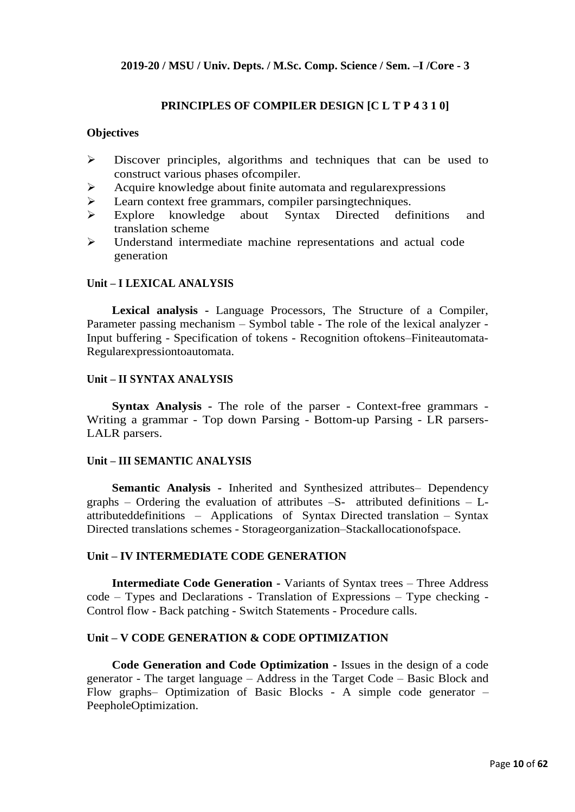## **PRINCIPLES OF COMPILER DESIGN [C L T P 4 3 1 0]**

#### **Objectives**

- ➢ Discover principles, algorithms and techniques that can be used to construct various phases ofcompiler.
- ➢ Acquire knowledge about finite automata and regularexpressions
- ➢ Learn context free grammars, compiler parsingtechniques.
- ➢ Explore knowledge about Syntax Directed definitions and translation scheme
- ➢ Understand intermediate machine representations and actual code generation

#### **Unit – I LEXICAL ANALYSIS**

**Lexical analysis -** Language Processors, The Structure of a Compiler, Parameter passing mechanism – Symbol table - The role of the lexical analyzer - Input buffering - Specification of tokens - Recognition oftokens–Finiteautomata-Regularexpressiontoautomata.

#### **Unit – II SYNTAX ANALYSIS**

**Syntax Analysis -** The role of the parser - Context-free grammars - Writing a grammar - Top down Parsing - Bottom-up Parsing - LR parsers-LALR parsers.

#### **Unit – III SEMANTIC ANALYSIS**

**Semantic Analysis -** Inherited and Synthesized attributes– Dependency graphs – Ordering the evaluation of attributes  $-S$ - attributed definitions – Lattributeddefinitions – Applications of Syntax Directed translation – Syntax Directed translations schemes - Storageorganization–Stackallocationofspace.

#### **Unit – IV INTERMEDIATE CODE GENERATION**

**Intermediate Code Generation -** Variants of Syntax trees – Three Address code – Types and Declarations - Translation of Expressions – Type checking - Control flow - Back patching - Switch Statements - Procedure calls.

#### **Unit – V CODE GENERATION & CODE OPTIMIZATION**

**Code Generation and Code Optimization -** Issues in the design of a code generator - The target language – Address in the Target Code – Basic Block and Flow graphs– Optimization of Basic Blocks - A simple code generator – PeepholeOptimization.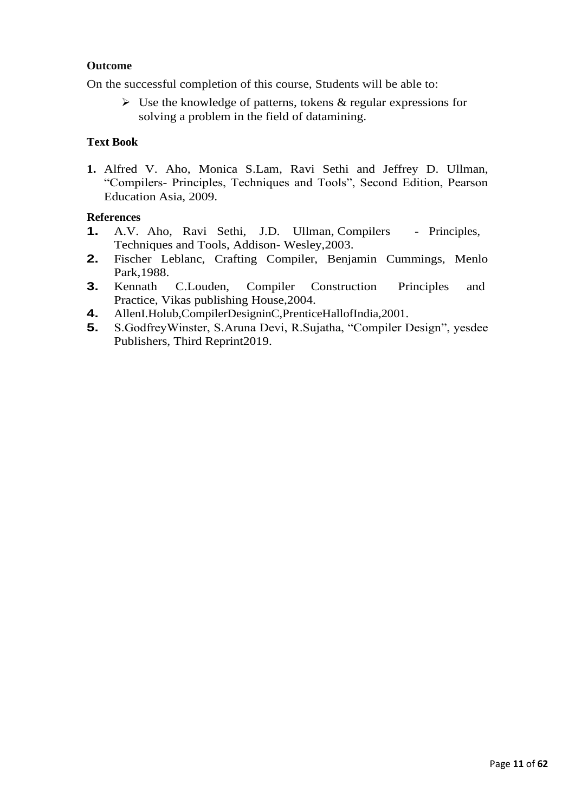## **Outcome**

On the successful completion of this course, Students will be able to:

 $\triangleright$  Use the knowledge of patterns, tokens & regular expressions for solving a problem in the field of datamining.

## **Text Book**

**1.** Alfred V. Aho, Monica S.Lam, Ravi Sethi and Jeffrey D. Ullman, "Compilers- Principles, Techniques and Tools", Second Edition, Pearson Education Asia, 2009.

## **References**

- **1.** A.V. Aho, Ravi Sethi, J.D. Ullman, Compilers Principles, Techniques and Tools, Addison- Wesley,2003.
- **2.** Fischer Leblanc, Crafting Compiler, Benjamin Cummings, Menlo Park,1988.
- **3.** Kennath C.Louden, Compiler Construction Principles and Practice, Vikas publishing House,2004.
- **4.** AllenI.Holub,CompilerDesigninC,PrenticeHallofIndia,2001.
- **5.** S.GodfreyWinster, S.Aruna Devi, R.Sujatha, "Compiler Design", yesdee Publishers, Third Reprint2019.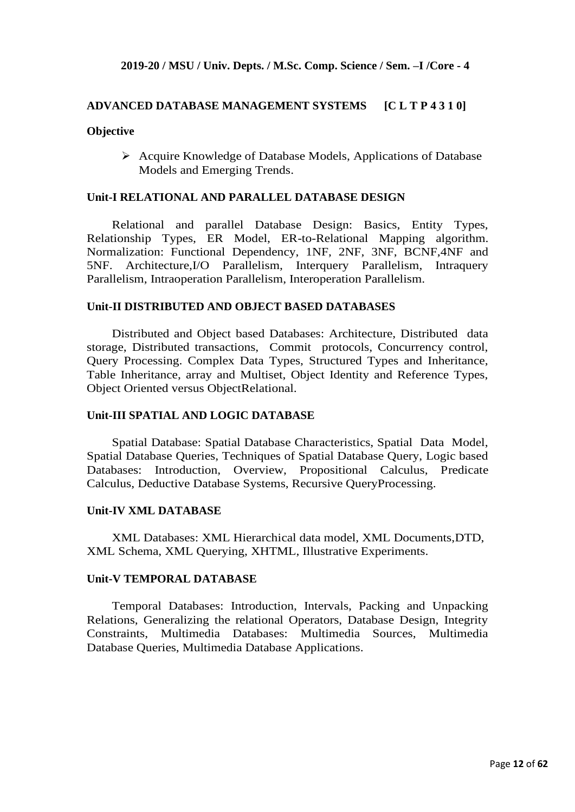#### **ADVANCED DATABASE MANAGEMENT SYSTEMS [C L T P 4 3 1 0]**

#### **Objective**

➢ Acquire Knowledge of Database Models, Applications of Database Models and Emerging Trends.

#### **Unit-I RELATIONAL AND PARALLEL DATABASE DESIGN**

Relational and parallel Database Design: Basics, Entity Types, Relationship Types, ER Model, ER-to-Relational Mapping algorithm. Normalization: Functional Dependency, 1NF, 2NF, 3NF, BCNF,4NF and 5NF. Architecture,I/O Parallelism, Interquery Parallelism, Intraquery Parallelism, Intraoperation Parallelism, Interoperation Parallelism.

#### **Unit-II DISTRIBUTED AND OBJECT BASED DATABASES**

Distributed and Object based Databases: Architecture, Distributed data storage, Distributed transactions, Commit protocols, Concurrency control, Query Processing. Complex Data Types, Structured Types and Inheritance, Table Inheritance, array and Multiset, Object Identity and Reference Types, Object Oriented versus ObjectRelational.

#### **Unit-III SPATIAL AND LOGIC DATABASE**

Spatial Database: Spatial Database Characteristics, Spatial Data Model, Spatial Database Queries, Techniques of Spatial Database Query, Logic based Databases: Introduction, Overview, Propositional Calculus, Predicate Calculus, Deductive Database Systems, Recursive QueryProcessing.

#### **Unit-IV XML DATABASE**

XML Databases: XML Hierarchical data model, XML Documents,DTD, XML Schema, XML Querying, XHTML, Illustrative Experiments.

#### **Unit-V TEMPORAL DATABASE**

Temporal Databases: Introduction, Intervals, Packing and Unpacking Relations, Generalizing the relational Operators, Database Design, Integrity Constraints, Multimedia Databases: Multimedia Sources, Multimedia Database Queries, Multimedia Database Applications.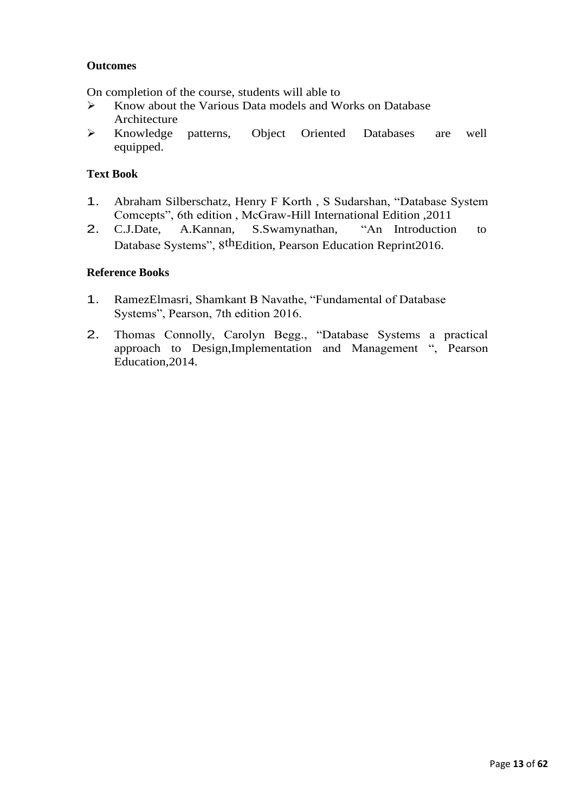## **Outcomes**

On completion of the course, students will able to

- ➢ Know about the Various Data models and Works on Database Architecture
- ➢ Knowledge patterns, Object Oriented Databases are well equipped.

## **Text Book**

- 1. Abraham Silberschatz, Henry F Korth , S Sudarshan, "Database System Comcepts", 6th edition , McGraw-Hill International Edition ,2011
- 2. C.J.Date, A.Kannan, S.Swamynathan, "An Introduction to Database Systems", 8thEdition, Pearson Education Reprint2016.

## **Reference Books**

- 1. RamezElmasri, Shamkant B Navathe, "Fundamental of Database Systems", Pearson, 7th edition 2016.
- 2. Thomas Connolly, Carolyn Begg., "Database Systems a practical approach to Design,Implementation and Management ", Pearson Education,2014.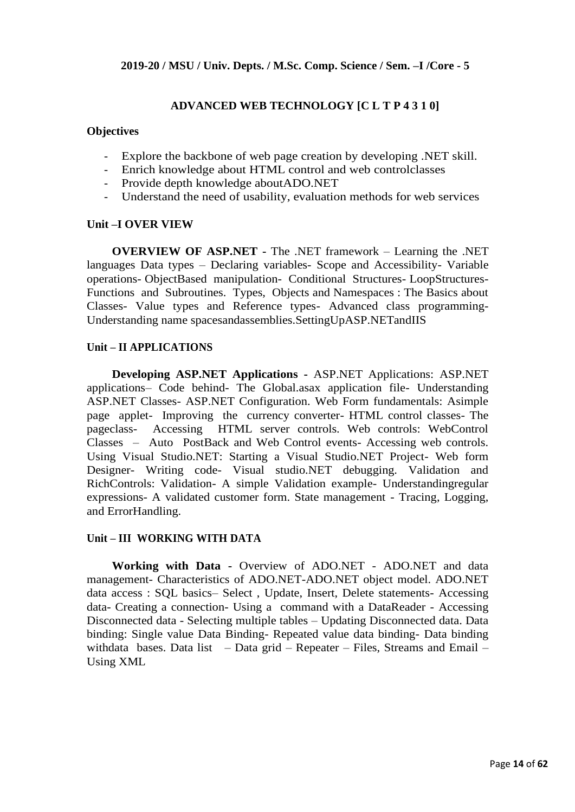## **ADVANCED WEB TECHNOLOGY [C L T P 4 3 1 0]**

#### **Objectives**

- Explore the backbone of web page creation by developing .NET skill.
- Enrich knowledge about HTML control and web controlclasses
- Provide depth knowledge aboutADO.NET
- Understand the need of usability, evaluation methods for web services

#### **Unit –I OVER VIEW**

**OVERVIEW OF ASP.NET -** The .NET framework – Learning the .NET languages Data types – Declaring variables- Scope and Accessibility- Variable operations- ObjectBased manipulation- Conditional Structures- LoopStructures-Functions and Subroutines. Types, Objects and Namespaces : The Basics about Classes- Value types and Reference types- Advanced class programming-Understanding name spacesandassemblies.SettingUpASP.NETandIIS

## **Unit – II APPLICATIONS**

**Developing ASP.NET Applications -** ASP.NET Applications: ASP.NET applications– Code behind- The Global.asax application file- Understanding ASP.NET Classes- ASP.NET Configuration. Web Form fundamentals: Asimple page applet- Improving the currency converter- HTML control classes- The pageclass- Accessing HTML server controls. Web controls: WebControl Classes – Auto PostBack and Web Control events- Accessing web controls. Using Visual Studio.NET: Starting a Visual Studio.NET Project- Web form Designer- Writing code- Visual studio.NET debugging. Validation and RichControls: Validation- A simple Validation example- Understandingregular expressions- A validated customer form. State management - Tracing, Logging, and ErrorHandling.

#### **Unit – III WORKING WITH DATA**

**Working with Data -** Overview of ADO.NET - ADO.NET and data management- Characteristics of ADO.NET-ADO.NET object model. ADO.NET data access : SQL basics– Select , Update, Insert, Delete statements- Accessing data- Creating a connection- Using a command with a DataReader - Accessing Disconnected data - Selecting multiple tables – Updating Disconnected data. Data binding: Single value Data Binding- Repeated value data binding- Data binding withdata bases. Data list – Data grid – Repeater – Files, Streams and Email – Using XML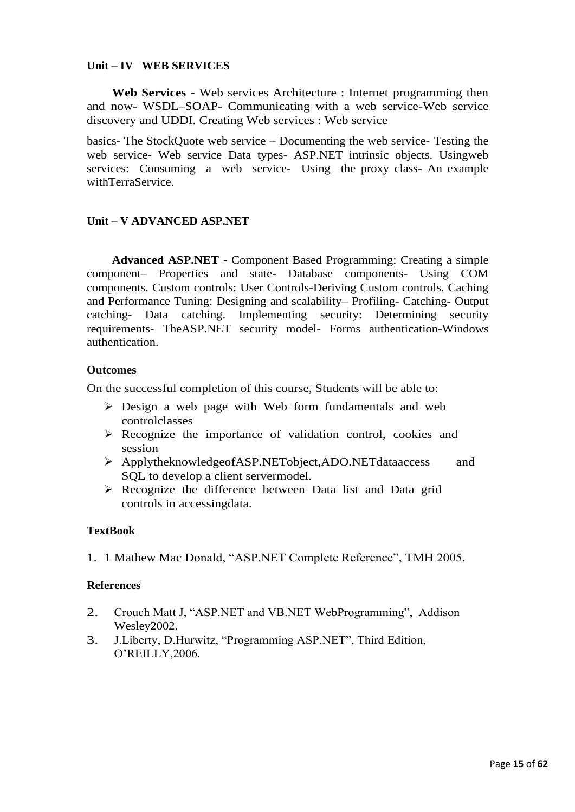## **Unit – IV WEB SERVICES**

**Web Services -** Web services Architecture : Internet programming then and now- WSDL–SOAP- Communicating with a web service-Web service discovery and UDDI. Creating Web services : Web service

basics- The StockQuote web service – Documenting the web service- Testing the web service- Web service Data types- ASP.NET intrinsic objects. Usingweb services: Consuming a web service- Using the proxy class- An example withTerraService.

## **Unit – V ADVANCED ASP.NET**

**Advanced ASP.NET -** Component Based Programming: Creating a simple component– Properties and state- Database components- Using COM components. Custom controls: User Controls-Deriving Custom controls. Caching and Performance Tuning: Designing and scalability– Profiling- Catching- Output catching- Data catching. Implementing security: Determining security requirements- TheASP.NET security model- Forms authentication-Windows authentication.

#### **Outcomes**

On the successful completion of this course, Students will be able to:

- ➢ Design a web page with Web form fundamentals and web controlclasses
- ➢ Recognize the importance of validation control, cookies and session
- ➢ ApplytheknowledgeofASP.NETobject,ADO.NETdataaccess and SQL to develop a client servermodel.
- ➢ Recognize the difference between Data list and Data grid controls in accessingdata.

#### **TextBook**

1. 1 Mathew Mac Donald, "ASP.NET Complete Reference", TMH 2005.

#### **References**

- 2. Crouch Matt J, "ASP.NET and VB.NET WebProgramming", Addison Wesley2002.
- 3. J.Liberty, D.Hurwitz, "Programming ASP.NET", Third Edition, O'REILLY,2006.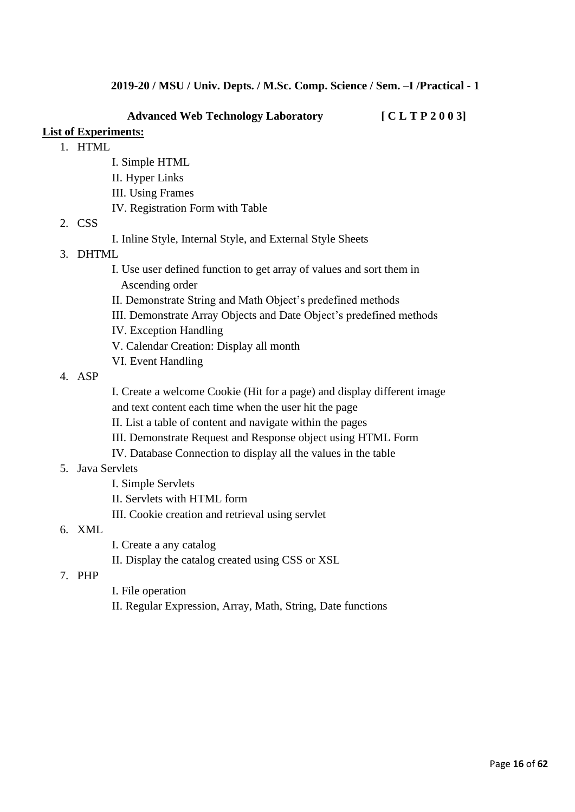**Advanced Web Technology Laboratory [ C L T P 2 0 0 3]**

## **List of Experiments:**

- 1. HTML
	- I. Simple HTML
	- II. Hyper Links
	- III. Using Frames
	- IV. Registration Form with Table

#### 2. CSS

I. Inline Style, Internal Style, and External Style Sheets

## 3. DHTML

- I. Use user defined function to get array of values and sort them in Ascending order
- II. Demonstrate String and Math Object's predefined methods
- III. Demonstrate Array Objects and Date Object's predefined methods
- IV. Exception Handling
- V. Calendar Creation: Display all month
- VI. Event Handling

#### 4. ASP

I. Create a welcome Cookie (Hit for a page) and display different image and text content each time when the user hit the page

- II. List a table of content and navigate within the pages
- III. Demonstrate Request and Response object using HTML Form
- IV. Database Connection to display all the values in the table

#### 5. Java Servlets

- I. Simple Servlets
- II. Servlets with HTML form
- III. Cookie creation and retrieval using servlet

#### 6. XML

- I. Create a any catalog
- II. Display the catalog created using CSS or XSL

## 7. PHP

- I. File operation
- II. Regular Expression, Array, Math, String, Date functions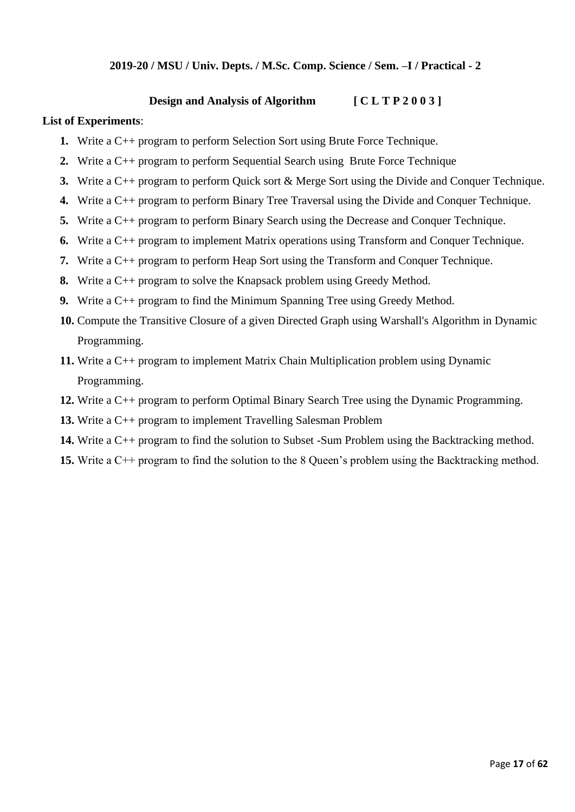## **2019-20 / MSU / Univ. Depts. / M.Sc. Comp. Science / Sem. –I / Practical - 2**

## **Design and Analysis of Algorithm [ C L T P 2 0 0 3 ]**

#### **List of Experiments**:

- **1.** Write a C++ program to perform Selection Sort using Brute Force Technique.
- **2.** Write a C++ program to perform Sequential Search using Brute Force Technique
- **3.** Write a C++ program to perform Quick sort & Merge Sort using the Divide and Conquer Technique.
- **4.** Write a C++ program to perform Binary Tree Traversal using the Divide and Conquer Technique.
- **5.** Write a C++ program to perform Binary Search using the Decrease and Conquer Technique.
- **6.** Write a C++ program to implement Matrix operations using Transform and Conquer Technique.
- **7.** Write a C++ program to perform Heap Sort using the Transform and Conquer Technique.
- **8.** Write a C++ program to solve the Knapsack problem using Greedy Method.
- **9.** Write a C++ program to find the Minimum Spanning Tree using Greedy Method.
- **10.** Compute the Transitive Closure of a given Directed Graph using Warshall's Algorithm in Dynamic Programming.
- **11.** Write a C++ program to implement Matrix Chain Multiplication problem using Dynamic Programming.
- **12.** Write a C++ program to perform Optimal Binary Search Tree using the Dynamic Programming.
- **13.** Write a C++ program to implement Travelling Salesman Problem
- **14.** Write a C++ program to find the solution to Subset -Sum Problem using the Backtracking method.
- **15.** Write a C++ program to find the solution to the 8 Queen's problem using the Backtracking method.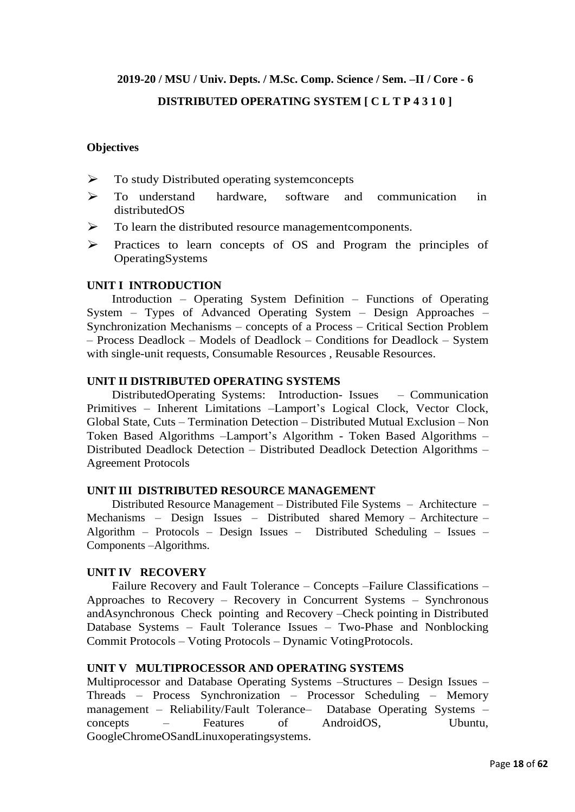# **2019-20 / MSU / Univ. Depts. / M.Sc. Comp. Science / Sem. –II / Core - 6 DISTRIBUTED OPERATING SYSTEM [ C L T P 4 3 1 0 ]**

## **Objectives**

- ➢ To study Distributed operating systemconcepts
- ➢ To understand hardware, software and communication in distributedOS
- $\triangleright$  To learn the distributed resource management components.
- ➢ Practices to learn concepts of OS and Program the principles of OperatingSystems

## **UNIT I INTRODUCTION**

Introduction – Operating System Definition – Functions of Operating System – Types of Advanced Operating System – Design Approaches – Synchronization Mechanisms – concepts of a Process – Critical Section Problem – Process Deadlock – Models of Deadlock – Conditions for Deadlock – System with single-unit requests, Consumable Resources , Reusable Resources.

## **UNIT II DISTRIBUTED OPERATING SYSTEMS**

DistributedOperating Systems: Introduction- Issues – Communication Primitives – Inherent Limitations –Lamport's Logical Clock, Vector Clock, Global State, Cuts – Termination Detection – Distributed Mutual Exclusion – Non Token Based Algorithms –Lamport's Algorithm - Token Based Algorithms – Distributed Deadlock Detection – Distributed Deadlock Detection Algorithms – Agreement Protocols

#### **UNIT III DISTRIBUTED RESOURCE MANAGEMENT**

Distributed Resource Management – Distributed File Systems – Architecture – Mechanisms – Design Issues – Distributed shared Memory – Architecture – Algorithm – Protocols – Design Issues – Distributed Scheduling – Issues – Components –Algorithms.

#### **UNIT IV RECOVERY**

Failure Recovery and Fault Tolerance – Concepts –Failure Classifications – Approaches to Recovery – Recovery in Concurrent Systems – Synchronous andAsynchronous Check pointing and Recovery –Check pointing in Distributed Database Systems – Fault Tolerance Issues – Two-Phase and Nonblocking Commit Protocols – Voting Protocols – Dynamic VotingProtocols.

## **UNIT V MULTIPROCESSOR AND OPERATING SYSTEMS**

Multiprocessor and Database Operating Systems –Structures – Design Issues – Threads – Process Synchronization – Processor Scheduling – Memory management – Reliability/Fault Tolerance– Database Operating Systems – concepts – Features of AndroidOS, Ubuntu, GoogleChromeOSandLinuxoperatingsystems.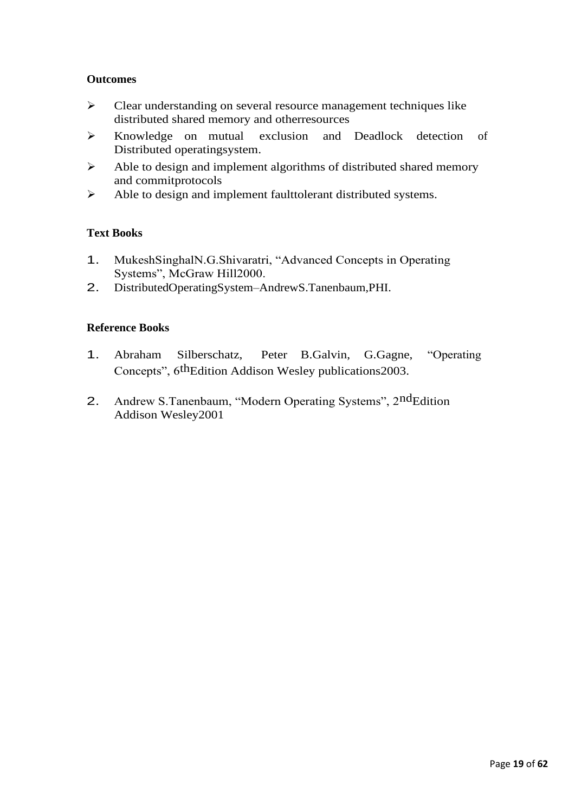## **Outcomes**

- ➢ Clear understanding on several resource management techniques like distributed shared memory and otherresources
- ➢ Knowledge on mutual exclusion and Deadlock detection of Distributed operatingsystem.
- ➢ Able to design and implement algorithms of distributed shared memory and commitprotocols
- ➢ Able to design and implement faulttolerant distributed systems.

## **Text Books**

- 1. MukeshSinghalN.G.Shivaratri, "Advanced Concepts in Operating Systems", McGraw Hill2000.
- 2. DistributedOperatingSystem–AndrewS.Tanenbaum,PHI.

## **Reference Books**

- 1. Abraham Silberschatz, Peter B.Galvin, G.Gagne, "Operating Concepts", 6thEdition Addison Wesley publications2003.
- 2. Andrew S.Tanenbaum, "Modern Operating Systems", 2ndEdition Addison Wesley2001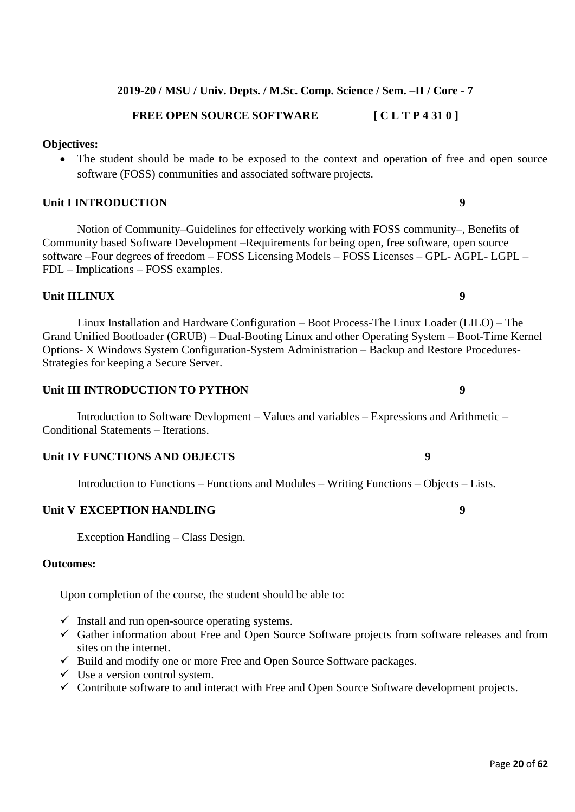**2019-20 / MSU / Univ. Depts. / M.Sc. Comp. Science / Sem. –II / Core - 7**

## **FREE OPEN SOURCE SOFTWARE [ C L T P 4 31 0 ]**

## **Objectives:**

• The student should be made to be exposed to the context and operation of free and open source software (FOSS) communities and associated software projects.

## **Unit I INTRODUCTION 9**

Notion of Community–Guidelines for effectively working with FOSS community–, Benefits of Community based Software Development –Requirements for being open, free software, open source software –Four degrees of freedom – FOSS Licensing Models – FOSS Licenses – GPL- AGPL- LGPL – FDL – Implications – FOSS examples.

## **Unit IILINUX 9**

Linux Installation and Hardware Configuration – Boot Process-The Linux Loader (LILO) – The Grand Unified Bootloader (GRUB) – Dual-Booting Linux and other Operating System – Boot-Time Kernel Options- X Windows System Configuration-System Administration – Backup and Restore Procedures-Strategies for keeping a Secure Server.

## **Unit III INTRODUCTION TO PYTHON 9**

Introduction to Software Devlopment – Values and variables – Expressions and Arithmetic – Conditional Statements – Iterations.

## **Unit IV FUNCTIONS AND OBJECTS 9**

Introduction to Functions – Functions and Modules – Writing Functions – Objects – Lists.

#### **Unit V EXCEPTION HANDLING 9**

Exception Handling – Class Design.

## **Outcomes:**

Upon completion of the course, the student should be able to:

- $\checkmark$  Install and run open-source operating systems.
- ✓ Gather information about Free and Open Source Software projects from software releases and from sites on the internet.
- ✓ Build and modify one or more Free and Open Source Software packages.
- $\checkmark$  Use a version control system.
- ✓ Contribute software to and interact with Free and Open Source Software development projects.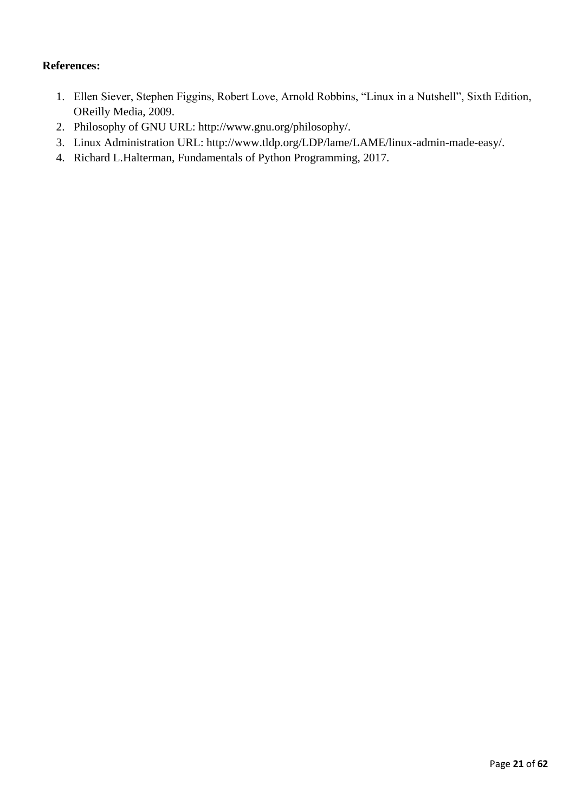## **References:**

- 1. Ellen Siever, Stephen Figgins, Robert Love, Arnold Robbins, "Linux in a Nutshell", Sixth Edition, OReilly Media, 2009.
- 2. Philosophy of GNU URL: http://www.gnu.org/philosophy/.
- 3. Linux Administration URL: http://www.tldp.org/LDP/lame/LAME/linux-admin-made-easy/.
- 4. Richard L.Halterman, Fundamentals of Python Programming, 2017.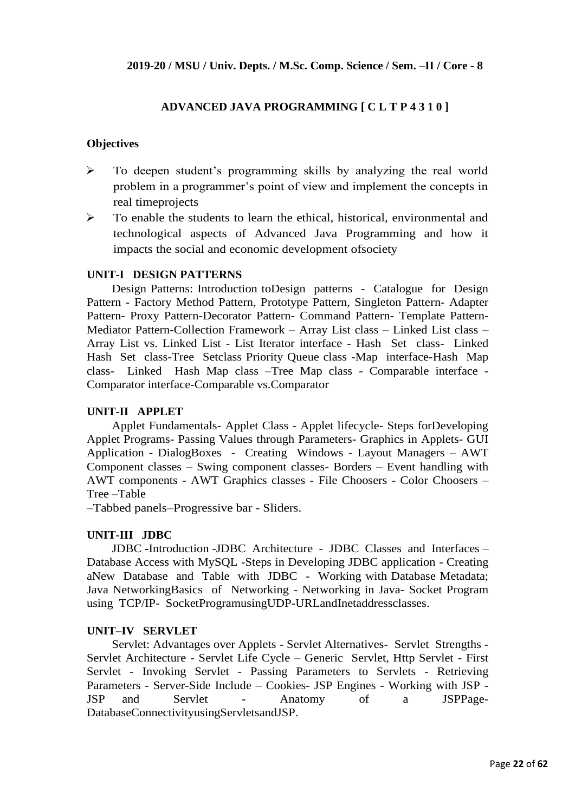## **ADVANCED JAVA PROGRAMMING [ C L T P 4 3 1 0 ]**

## **Objectives**

- ➢ To deepen student's programming skills by analyzing the real world problem in a programmer's point of view and implement the concepts in real timeprojects
- $\triangleright$  To enable the students to learn the ethical, historical, environmental and technological aspects of Advanced Java Programming and how it impacts the social and economic development ofsociety

#### **UNIT-I DESIGN PATTERNS**

Design Patterns: Introduction toDesign patterns - Catalogue for Design Pattern - Factory Method Pattern, Prototype Pattern, Singleton Pattern- Adapter Pattern- Proxy Pattern-Decorator Pattern- Command Pattern- Template Pattern-Mediator Pattern-Collection Framework – Array List class – Linked List class – Array List vs. Linked List - List Iterator interface - Hash Set class- Linked Hash Set class-Tree Setclass Priority Queue class -Map interface-Hash Map class- Linked Hash Map class –Tree Map class - Comparable interface - Comparator interface-Comparable vs.Comparator

## **UNIT-II APPLET**

Applet Fundamentals- Applet Class - Applet lifecycle- Steps forDeveloping Applet Programs- Passing Values through Parameters- Graphics in Applets- GUI Application **-** DialogBoxes - Creating Windows - Layout Managers – AWT Component classes – Swing component classes- Borders – Event handling with AWT components - AWT Graphics classes - File Choosers - Color Choosers – Tree –Table

–Tabbed panels–Progressive bar - Sliders.

## **UNIT-III JDBC**

JDBC **-**Introduction -JDBC Architecture - JDBC Classes and Interfaces – Database Access with MySQL -Steps in Developing JDBC application - Creating aNew Database and Table with JDBC - Working with Database Metadata; Java NetworkingBasics of Networking - Networking in Java- Socket Program using TCP/IP- SocketProgramusingUDP-URLandInetaddressclasses.

#### **UNIT–IV SERVLET**

Servlet: Advantages over Applets - Servlet Alternatives- Servlet Strengths - Servlet Architecture - Servlet Life Cycle – Generic Servlet, Http Servlet - First Servlet - Invoking Servlet - Passing Parameters to Servlets - Retrieving Parameters - Server-Side Include – Cookies- JSP Engines - Working with JSP - JSP and Servlet - Anatomy of a JSPPage-DatabaseConnectivityusingServletsandJSP.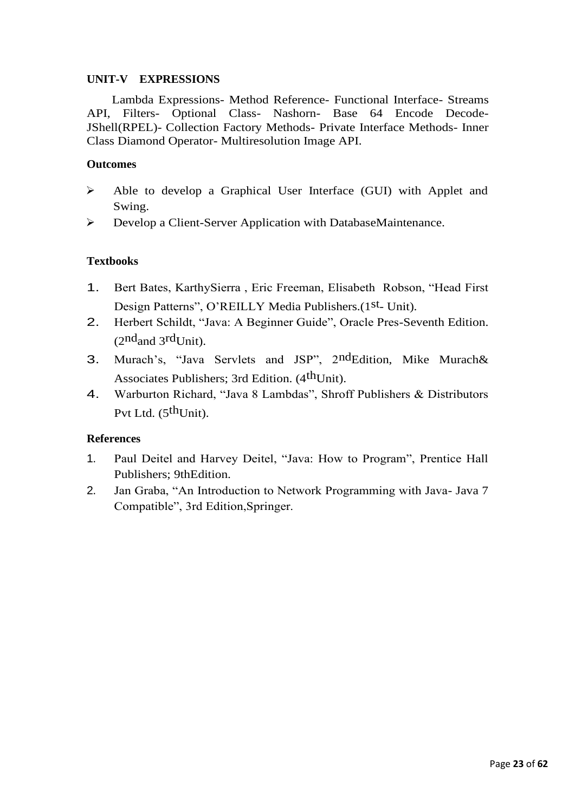## **UNIT-V EXPRESSIONS**

Lambda Expressions- Method Reference- Functional Interface- Streams API, Filters- Optional Class- Nashorn- Base 64 Encode Decode-JShell(RPEL)- Collection Factory Methods- Private Interface Methods- Inner Class Diamond Operator- Multiresolution Image API.

## **Outcomes**

- ➢ Able to develop a Graphical User Interface (GUI) with Applet and Swing.
- ➢ Develop a Client-Server Application with DatabaseMaintenance.

## **Textbooks**

- 1. Bert Bates, KarthySierra , Eric Freeman, Elisabeth Robson, "Head First Design Patterns", O'REILLY Media Publishers.(1st<sub>- Unit)</sub>.
- 2. Herbert Schildt, "Java: A Beginner Guide", Oracle Pres-Seventh Edition.  $(2<sup>nd</sup> and 3<sup>rd</sup>Unit).$
- 3. Murach's, "Java Servlets and JSP", 2ndEdition, Mike Murach& Associates Publishers; 3rd Edition. (4<sup>th</sup>Unit).
- 4. Warburton Richard, "Java 8 Lambdas", Shroff Publishers & Distributors Pvt Ltd. (5<sup>th</sup>Unit).

## **References**

- 1. Paul Deitel and Harvey Deitel, "Java: How to Program", Prentice Hall Publishers; 9thEdition.
- 2. Jan Graba, "An Introduction to Network Programming with Java- Java 7 Compatible", 3rd Edition,Springer.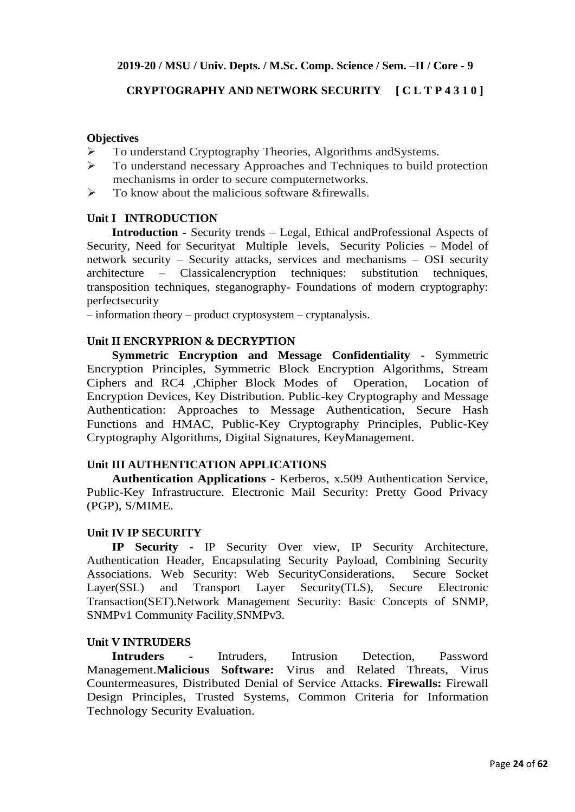## **CRYPTOGRAPHY AND NETWORK SECURITY [ C L T P 4 3 1 0 ]**

## **Objectives**

- ➢ To understand Cryptography Theories, Algorithms andSystems.
- ➢ To understand necessary Approaches and Techniques to build protection mechanisms in order to secure computernetworks.
- $\triangleright$  To know about the malicious software & firewalls.

## **Unit I INTRODUCTION**

**Introduction -** Security trends – Legal, Ethical andProfessional Aspects of Security, Need for Securityat Multiple levels, Security Policies – Model of network security – Security attacks, services and mechanisms – OSI security architecture – Classicalencryption techniques: substitution techniques, transposition techniques, steganography- Foundations of modern cryptography: perfectsecurity

– information theory – product cryptosystem – cryptanalysis.

## **Unit II ENCRYPRION & DECRYPTION**

**Symmetric Encryption and Message Confidentiality -** Symmetric Encryption Principles, Symmetric Block Encryption Algorithms, Stream Ciphers and RC4 ,Chipher Block Modes of Operation, Location of Encryption Devices, Key Distribution. Public-key Cryptography and Message Authentication: Approaches to Message Authentication, Secure Hash Functions and HMAC, Public-Key Cryptography Principles, Public-Key Cryptography Algorithms, Digital Signatures, KeyManagement.

#### **Unit III AUTHENTICATION APPLICATIONS**

**Authentication Applications -** Kerberos, x.509 Authentication Service, Public-Key Infrastructure. Electronic Mail Security: Pretty Good Privacy (PGP), S/MIME.

#### **Unit IV IP SECURITY**

**IP Security -** IP Security Over view, IP Security Architecture, Authentication Header, Encapsulating Security Payload, Combining Security Associations. Web Security: Web SecurityConsiderations, Secure Socket Layer(SSL) and Transport Layer Security(TLS), Secure Electronic Transaction(SET).Network Management Security: Basic Concepts of SNMP, SNMPv1 Community Facility,SNMPv3.

## **Unit V INTRUDERS**

**Intruders -** Intruders, Intrusion Detection, Password Management.**Malicious Software:** Virus and Related Threats, Virus Countermeasures, Distributed Denial of Service Attacks. **Firewalls:** Firewall Design Principles, Trusted Systems, Common Criteria for Information Technology Security Evaluation.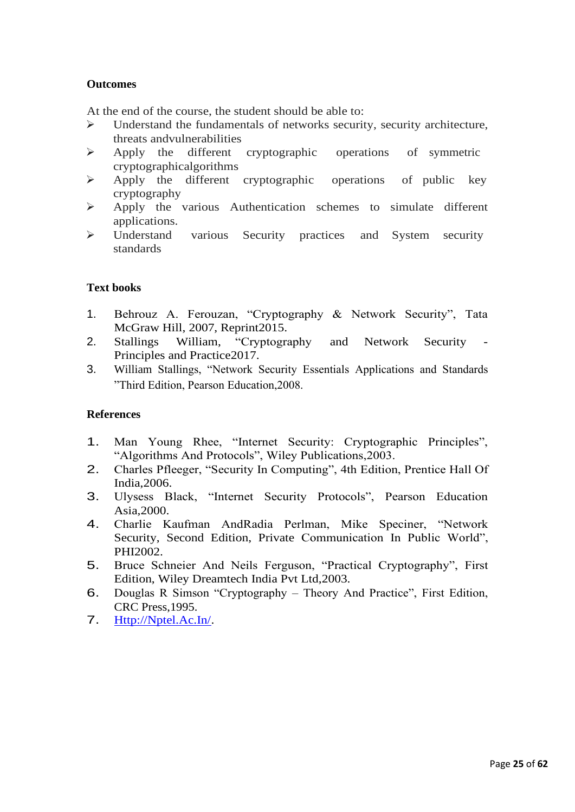## **Outcomes**

At the end of the course, the student should be able to:

- ➢ Understand the fundamentals of networks security, security architecture, threats andvulnerabilities
- ➢ Apply the different cryptographic operations of symmetric cryptographicalgorithms
- ➢ Apply the different cryptographic operations of public key cryptography
- ➢ Apply the various Authentication schemes to simulate different applications.
- ➢ Understand various Security practices and System security standards

## **Text books**

- 1. Behrouz A. Ferouzan, "Cryptography & Network Security", Tata McGraw Hill, 2007, Reprint2015.
- 2. Stallings William, "Cryptography and Network Security Principles and Practice2017.
- 3. William Stallings, "Network Security Essentials Applications and Standards "Third Edition, Pearson Education,2008.

#### **References**

- 1. Man Young Rhee, "Internet Security: Cryptographic Principles", "Algorithms And Protocols", Wiley Publications,2003.
- 2. Charles Pfleeger, "Security In Computing", 4th Edition, Prentice Hall Of India,2006.
- 3. Ulysess Black, "Internet Security Protocols", Pearson Education Asia,2000.
- 4. Charlie Kaufman AndRadia Perlman, Mike Speciner, "Network Security, Second Edition, Private Communication In Public World", PHI2002.
- 5. Bruce Schneier And Neils Ferguson, "Practical Cryptography", First Edition, Wiley Dreamtech India Pvt Ltd,2003.
- 6. Douglas R Simson "Cryptography Theory And Practice", First Edition, CRC Press,1995.
- 7. [Http://Nptel.Ac.In/.](http://nptel.ac.in/)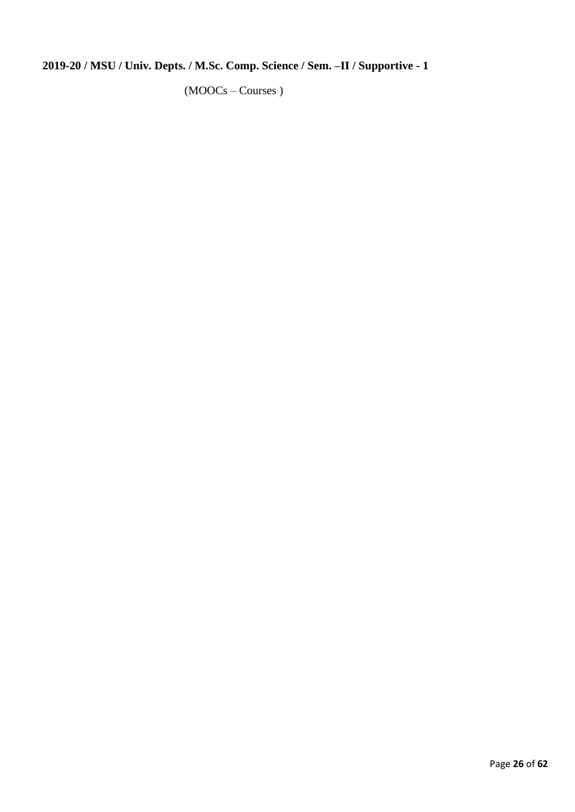# **2019-20 / MSU / Univ. Depts. / M.Sc. Comp. Science / Sem. –II / Supportive - 1**

(MOOCs – Courses )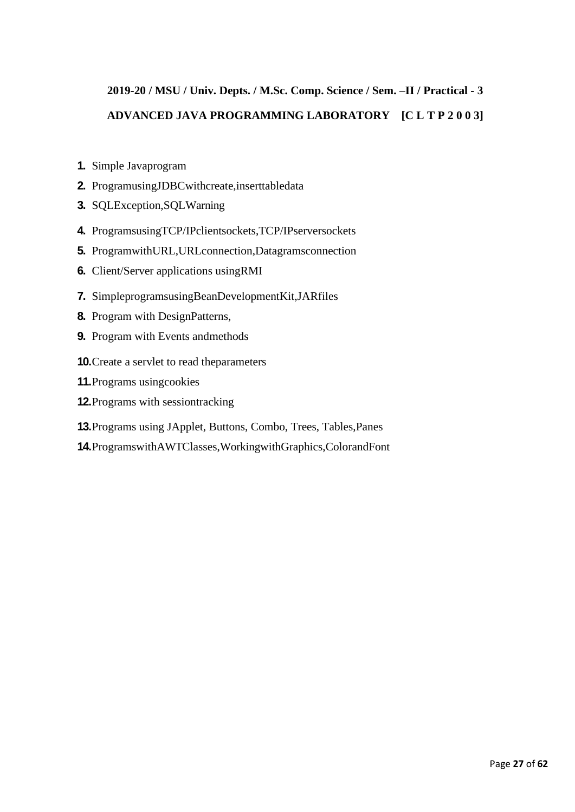# **2019-20 / MSU / Univ. Depts. / M.Sc. Comp. Science / Sem. –II / Practical - 3 ADVANCED JAVA PROGRAMMING LABORATORY [C L T P 2 0 0 3]**

- **1.** Simple Javaprogram
- **2.** ProgramusingJDBCwithcreate,inserttabledata
- **3.** SQLException,SQLWarning
- **4.** ProgramsusingTCP/IPclientsockets,TCP/IPserversockets
- **5.** ProgramwithURL,URLconnection,Datagramsconnection
- **6.** Client/Server applications usingRMI
- **7.** SimpleprogramsusingBeanDevelopmentKit,JARfiles
- **8.** Program with DesignPatterns,
- **9.** Program with Events andmethods
- **10.**Create a servlet to read theparameters
- **11.**Programs usingcookies
- **12.**Programs with sessiontracking
- **13.**Programs using JApplet, Buttons, Combo, Trees, Tables,Panes
- **14.**ProgramswithAWTClasses,WorkingwithGraphics,ColorandFont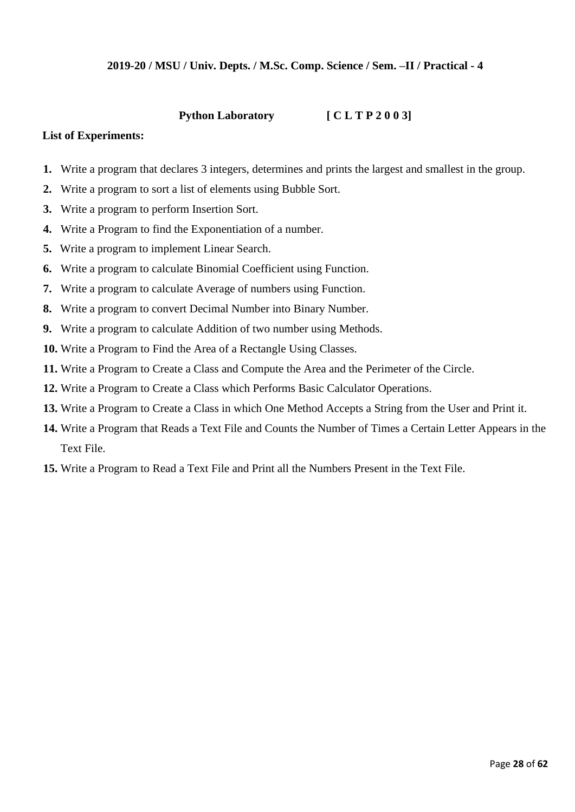## **2019-20 / MSU / Univ. Depts. / M.Sc. Comp. Science / Sem. –II / Practical - 4**

## **Python Laboratory [ C L T P 2 0 0 3]**

#### **List of Experiments:**

- **1.** Write a program that declares 3 integers, determines and prints the largest and smallest in the group.
- **2.** Write a program to sort a list of elements using Bubble Sort.
- **3.** Write a program to perform Insertion Sort.
- **4.** Write a Program to find the Exponentiation of a number.
- **5.** Write a program to implement Linear Search.
- **6.** Write a program to calculate Binomial Coefficient using Function.
- **7.** Write a program to calculate Average of numbers using Function.
- **8.** Write a program to convert Decimal Number into Binary Number.
- **9.** Write a program to calculate Addition of two number using Methods.
- **10.** Write a Program to Find the Area of a Rectangle Using Classes.
- **11.** Write a Program to Create a Class and Compute the Area and the Perimeter of the Circle.
- **12.** Write a Program to Create a Class which Performs Basic Calculator Operations.
- **13.** Write a Program to Create a Class in which One Method Accepts a String from the User and Print it.
- **14.** Write a Program that Reads a Text File and Counts the Number of Times a Certain Letter Appears in the Text File.
- **15.** Write a Program to Read a Text File and Print all the Numbers Present in the Text File.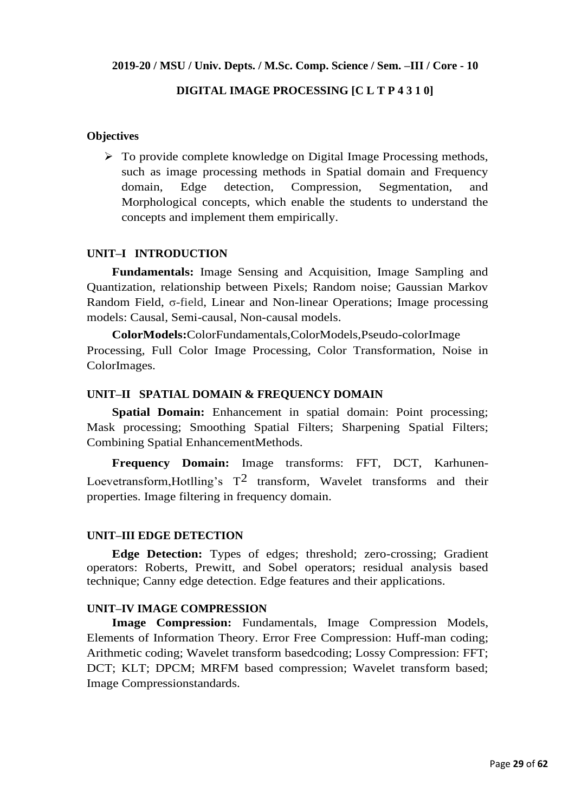#### **2019-20 / MSU / Univ. Depts. / M.Sc. Comp. Science / Sem. –III / Core - 10**

## **DIGITAL IMAGE PROCESSING [C L T P 4 3 1 0]**

#### **Objectives**

 $\triangleright$  To provide complete knowledge on Digital Image Processing methods, such as image processing methods in Spatial domain and Frequency domain, Edge detection, Compression, Segmentation, and Morphological concepts, which enable the students to understand the concepts and implement them empirically.

#### **UNIT–I INTRODUCTION**

**Fundamentals:** Image Sensing and Acquisition, Image Sampling and Quantization, relationship between Pixels; Random noise; Gaussian Markov Random Field, σ-field, Linear and Non-linear Operations; Image processing models: Causal, Semi-causal, Non-causal models.

**ColorModels:**ColorFundamentals,ColorModels,Pseudo-colorImage Processing, Full Color Image Processing, Color Transformation, Noise in ColorImages.

#### **UNIT–II SPATIAL DOMAIN & FREQUENCY DOMAIN**

**Spatial Domain:** Enhancement in spatial domain: Point processing; Mask processing; Smoothing Spatial Filters; Sharpening Spatial Filters; Combining Spatial EnhancementMethods.

**Frequency Domain:** Image transforms: FFT, DCT, Karhunen-Loevetransform, Hotlling's  $T^2$  transform, Wavelet transforms and their properties. Image filtering in frequency domain.

#### **UNIT–III EDGE DETECTION**

**Edge Detection:** Types of edges; threshold; zero-crossing; Gradient operators: Roberts, Prewitt, and Sobel operators; residual analysis based technique; Canny edge detection. Edge features and their applications.

#### **UNIT–IV IMAGE COMPRESSION**

**Image Compression:** Fundamentals, Image Compression Models, Elements of Information Theory. Error Free Compression: Huff-man coding; Arithmetic coding; Wavelet transform basedcoding; Lossy Compression: FFT; DCT; KLT; DPCM; MRFM based compression; Wavelet transform based; Image Compressionstandards.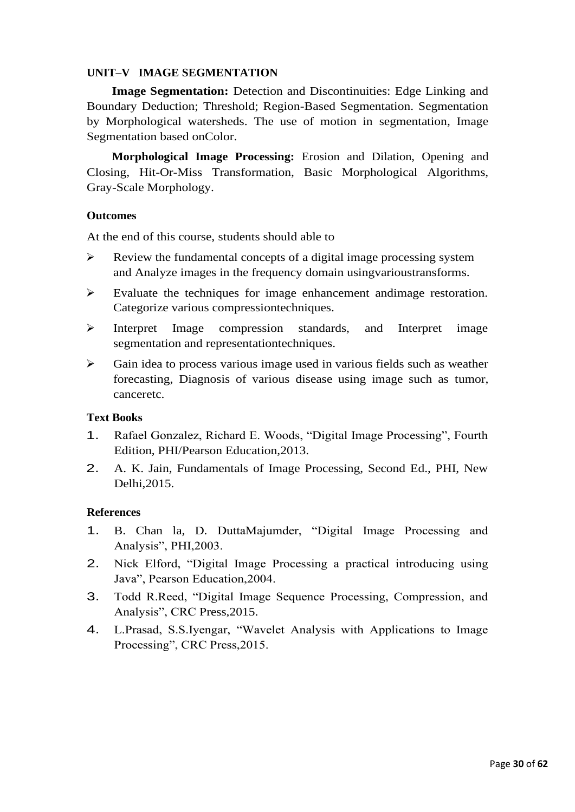## **UNIT–V IMAGE SEGMENTATION**

**Image Segmentation:** Detection and Discontinuities: Edge Linking and Boundary Deduction; Threshold; Region-Based Segmentation. Segmentation by Morphological watersheds. The use of motion in segmentation, Image Segmentation based onColor.

**Morphological Image Processing:** Erosion and Dilation, Opening and Closing, Hit-Or-Miss Transformation, Basic Morphological Algorithms, Gray-Scale Morphology.

#### **Outcomes**

At the end of this course, students should able to

- ➢ Review the fundamental concepts of a digital image processing system and Analyze images in the frequency domain usingvarioustransforms.
- $\triangleright$  Evaluate the techniques for image enhancement andimage restoration. Categorize various compressiontechniques.
- ➢ Interpret Image compression standards, and Interpret image segmentation and representationtechniques.
- ➢ Gain idea to process various image used in various fields such as weather forecasting, Diagnosis of various disease using image such as tumor, canceretc.

## **Text Books**

- 1. Rafael Gonzalez, Richard E. Woods, "Digital Image Processing", Fourth Edition, PHI/Pearson Education,2013.
- 2. A. K. Jain, Fundamentals of Image Processing, Second Ed., PHI, New Delhi,2015.

## **References**

- 1. B. Chan la, D. DuttaMajumder, "Digital Image Processing and Analysis", PHI,2003.
- 2. Nick Elford, "Digital Image Processing a practical introducing using Java", Pearson Education,2004.
- 3. Todd R.Reed, "Digital Image Sequence Processing, Compression, and Analysis", CRC Press,2015.
- 4. L.Prasad, S.S.Iyengar, "Wavelet Analysis with Applications to Image Processing", CRC Press,2015.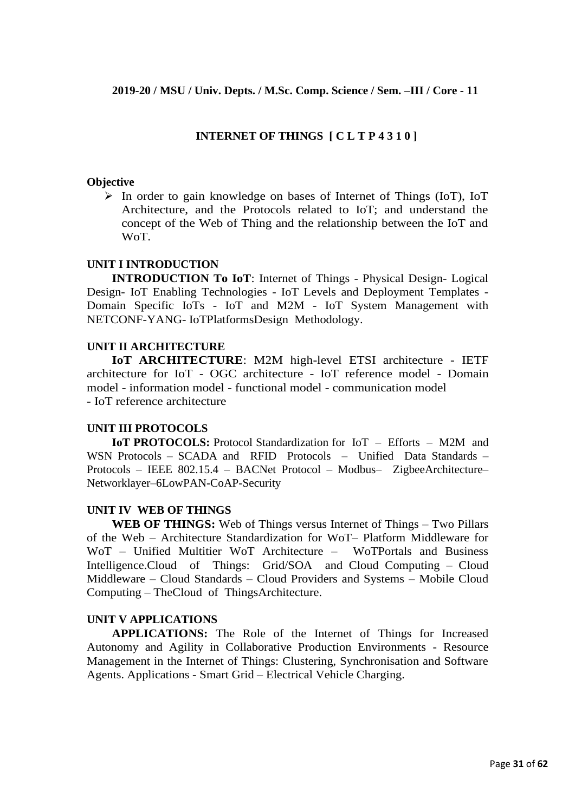## **INTERNET OF THINGS [ C L T P 4 3 1 0 ]**

#### **Objective**

➢ In order to gain knowledge on bases of Internet of Things (IoT), IoT Architecture, and the Protocols related to IoT; and understand the concept of the Web of Thing and the relationship between the IoT and WoT.

## **UNIT I INTRODUCTION**

**INTRODUCTION To IoT**: Internet of Things - Physical Design- Logical Design- IoT Enabling Technologies - IoT Levels and Deployment Templates - Domain Specific IoTs - IoT and M2M - IoT System Management with NETCONF-YANG- IoTPlatformsDesign Methodology.

## **UNIT II ARCHITECTURE**

**IoT ARCHITECTURE**: M2M high-level ETSI architecture - IETF architecture for IoT - OGC architecture - IoT reference model - Domain model - information model - functional model - communication model - IoT reference architecture

#### **UNIT III PROTOCOLS**

**IoT PROTOCOLS:** Protocol Standardization for IoT – Efforts – M2M and WSN Protocols – SCADA and RFID Protocols – Unified Data Standards – Protocols – IEEE 802.15.4 – BACNet Protocol – Modbus– ZigbeeArchitecture– Networklayer–6LowPAN-CoAP-Security

#### **UNIT IV WEB OF THINGS**

**WEB OF THINGS:** Web of Things versus Internet of Things – Two Pillars of the Web – Architecture Standardization for WoT– Platform Middleware for WoT – Unified Multitier WoT Architecture – WoTPortals and Business Intelligence.Cloud of Things: Grid/SOA and Cloud Computing – Cloud Middleware – Cloud Standards – Cloud Providers and Systems – Mobile Cloud Computing – TheCloud of ThingsArchitecture.

## **UNIT V APPLICATIONS**

**APPLICATIONS:** The Role of the Internet of Things for Increased Autonomy and Agility in Collaborative Production Environments - Resource Management in the Internet of Things: Clustering, Synchronisation and Software Agents. Applications - Smart Grid – Electrical Vehicle Charging.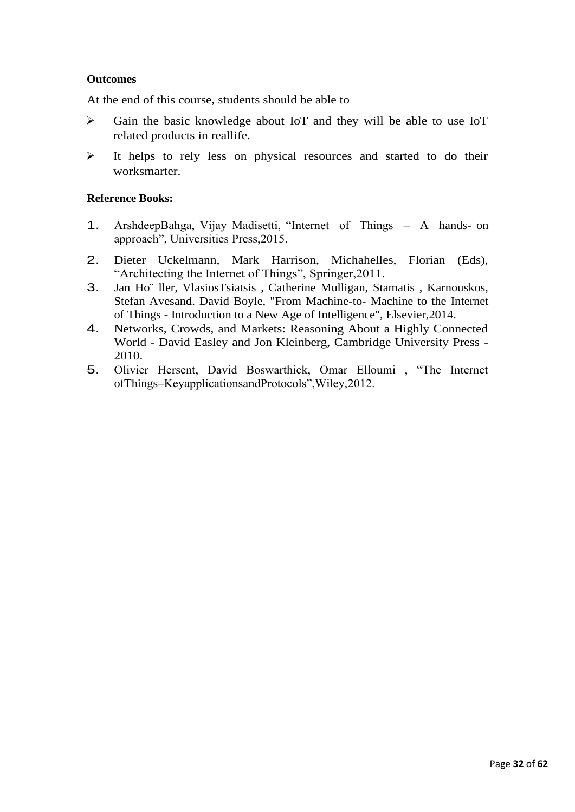## **Outcomes**

At the end of this course, students should be able to

- ➢ Gain the basic knowledge about IoT and they will be able to use IoT related products in reallife.
- ➢ It helps to rely less on physical resources and started to do their worksmarter.

## **Reference Books:**

- 1. ArshdeepBahga, Vijay Madisetti, "Internet of Things A hands- on approach", Universities Press,2015.
- 2. Dieter Uckelmann, Mark Harrison, Michahelles, Florian (Eds), "Architecting the Internet of Things", Springer,2011.
- 3. Jan Ho¨ ller, VlasiosTsiatsis , Catherine Mulligan, Stamatis , Karnouskos, Stefan Avesand. David Boyle, "From Machine-to- Machine to the Internet of Things - Introduction to a New Age of Intelligence", Elsevier,2014.
- 4. Networks, Crowds, and Markets: Reasoning About a Highly Connected World - David Easley and Jon Kleinberg, Cambridge University Press - 2010.
- 5. Olivier Hersent, David Boswarthick, Omar Elloumi , "The Internet ofThings–KeyapplicationsandProtocols",Wiley,2012.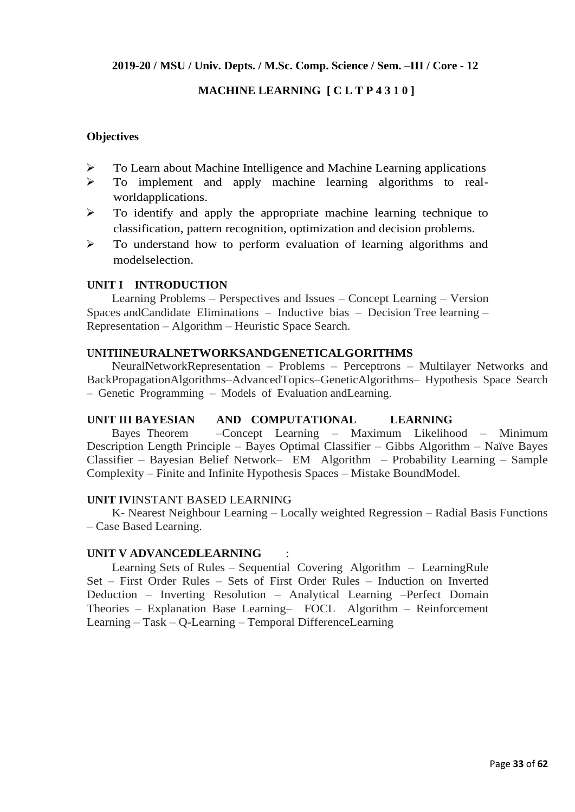**2019-20 / MSU / Univ. Depts. / M.Sc. Comp. Science / Sem. –III / Core - 12**

## **MACHINE LEARNING [ C L T P 4 3 1 0 ]**

## **Objectives**

- ➢ To Learn about Machine Intelligence and Machine Learning applications
- ➢ To implement and apply machine learning algorithms to realworldapplications.
- ➢ To identify and apply the appropriate machine learning technique to classification, pattern recognition, optimization and decision problems.
- ➢ To understand how to perform evaluation of learning algorithms and modelselection.

## **UNIT I INTRODUCTION**

Learning Problems – Perspectives and Issues – Concept Learning – Version Spaces andCandidate Eliminations – Inductive bias – Decision Tree learning – Representation – Algorithm – Heuristic Space Search.

## **UNITIINEURALNETWORKSANDGENETICALGORITHMS**

NeuralNetworkRepresentation – Problems – Perceptrons – Multilayer Networks and BackPropagationAlgorithms–AdvancedTopics–GeneticAlgorithms– Hypothesis Space Search – Genetic Programming – Models of Evaluation andLearning.

#### **UNIT III BAYESIAN AND COMPUTATIONAL LEARNING**

Bayes Theorem –Concept Learning – Maximum Likelihood – Minimum Description Length Principle – Bayes Optimal Classifier – Gibbs Algorithm – Naïve Bayes Classifier – Bayesian Belief Network– EM Algorithm – Probability Learning – Sample Complexity – Finite and Infinite Hypothesis Spaces – Mistake BoundModel.

#### **UNIT IV**INSTANT BASED LEARNING

K- Nearest Neighbour Learning – Locally weighted Regression – Radial Basis Functions – Case Based Learning.

#### **UNIT V ADVANCEDLEARNING** :

Learning Sets of Rules – Sequential Covering Algorithm – LearningRule Set – First Order Rules – Sets of First Order Rules – Induction on Inverted Deduction – Inverting Resolution – Analytical Learning –Perfect Domain Theories – Explanation Base Learning– FOCL Algorithm – Reinforcement Learning – Task – Q-Learning – Temporal DifferenceLearning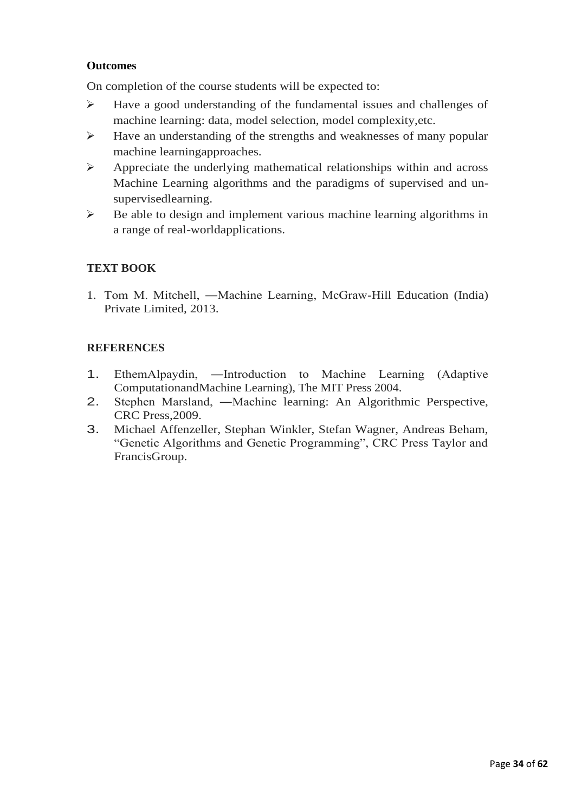## **Outcomes**

On completion of the course students will be expected to:

- ➢ Have a good understanding of the fundamental issues and challenges of machine learning: data, model selection, model complexity,etc.
- ➢ Have an understanding of the strengths and weaknesses of many popular machine learningapproaches.
- ➢ Appreciate the underlying mathematical relationships within and across Machine Learning algorithms and the paradigms of supervised and unsupervisedlearning.
- ➢ Be able to design and implement various machine learning algorithms in a range of real-worldapplications.

## **TEXT BOOK**

1. Tom M. Mitchell, ―Machine Learning, McGraw-Hill Education (India) Private Limited, 2013.

## **REFERENCES**

- 1. EthemAlpaydin, ―Introduction to Machine Learning (Adaptive ComputationandMachine Learning), The MIT Press 2004.
- 2. Stephen Marsland, ―Machine learning: An Algorithmic Perspective, CRC Press,2009.
- 3. Michael Affenzeller, Stephan Winkler, Stefan Wagner, Andreas Beham, "Genetic Algorithms and Genetic Programming", CRC Press Taylor and FrancisGroup.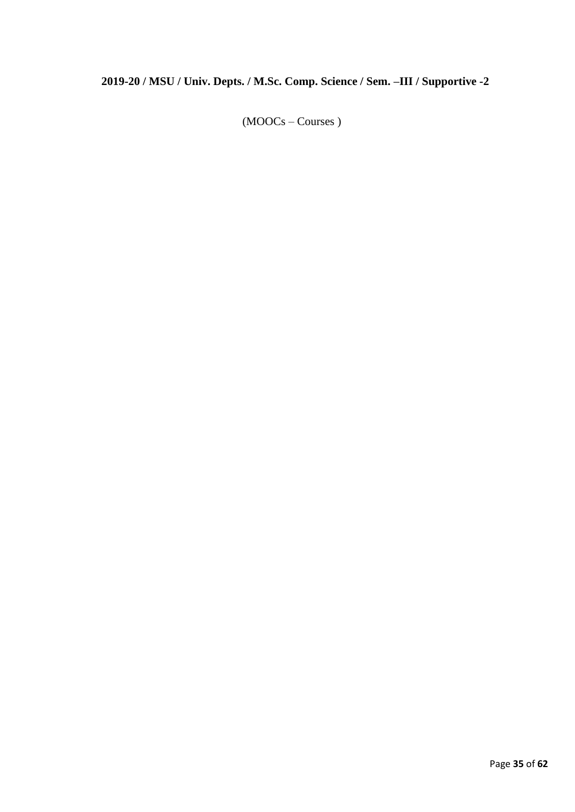# **2019-20 / MSU / Univ. Depts. / M.Sc. Comp. Science / Sem. –III / Supportive -2**

(MOOCs – Courses )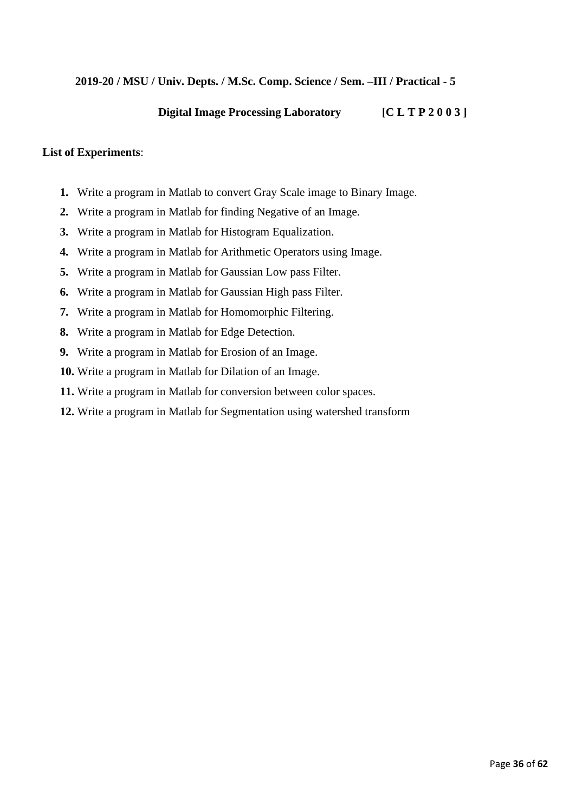## **2019-20 / MSU / Univ. Depts. / M.Sc. Comp. Science / Sem. –III / Practical - 5**

## **Digital Image Processing Laboratory [C L T P 2 0 0 3 ]**

## **List of Experiments**:

- **1.** Write a program in Matlab to convert Gray Scale image to Binary Image.
- **2.** Write a program in Matlab for finding Negative of an Image.
- **3.** Write a program in Matlab for Histogram Equalization.
- **4.** Write a program in Matlab for Arithmetic Operators using Image.
- **5.** Write a program in Matlab for Gaussian Low pass Filter.
- **6.** Write a program in Matlab for Gaussian High pass Filter.
- **7.** Write a program in Matlab for Homomorphic Filtering.
- **8.** Write a program in Matlab for Edge Detection.
- **9.** Write a program in Matlab for Erosion of an Image.
- **10.** Write a program in Matlab for Dilation of an Image.
- **11.** Write a program in Matlab for conversion between color spaces.
- **12.** Write a program in Matlab for Segmentation using watershed transform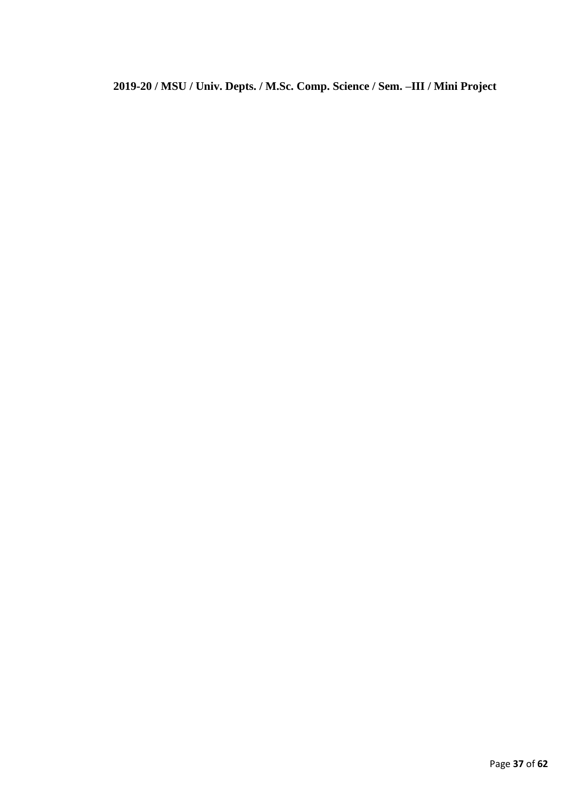**2019-20 / MSU / Univ. Depts. / M.Sc. Comp. Science / Sem. –III / Mini Project**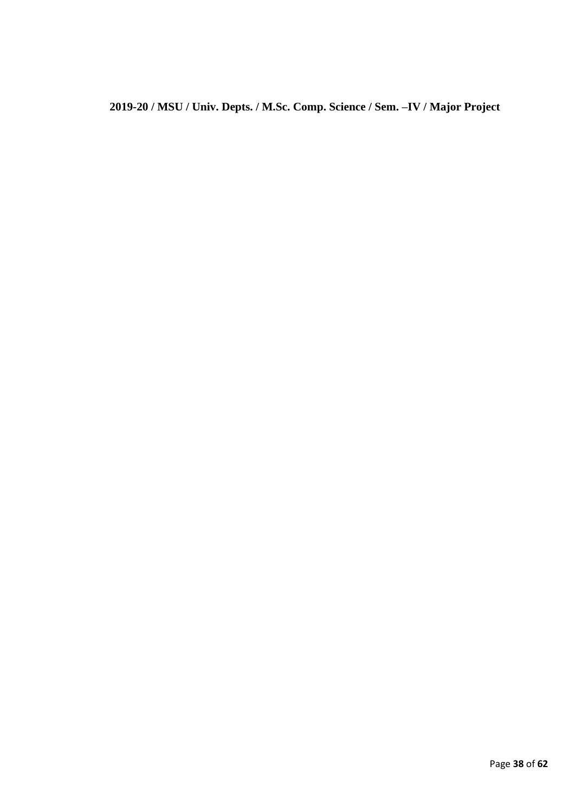**2019-20 / MSU / Univ. Depts. / M.Sc. Comp. Science / Sem. –IV / Major Project**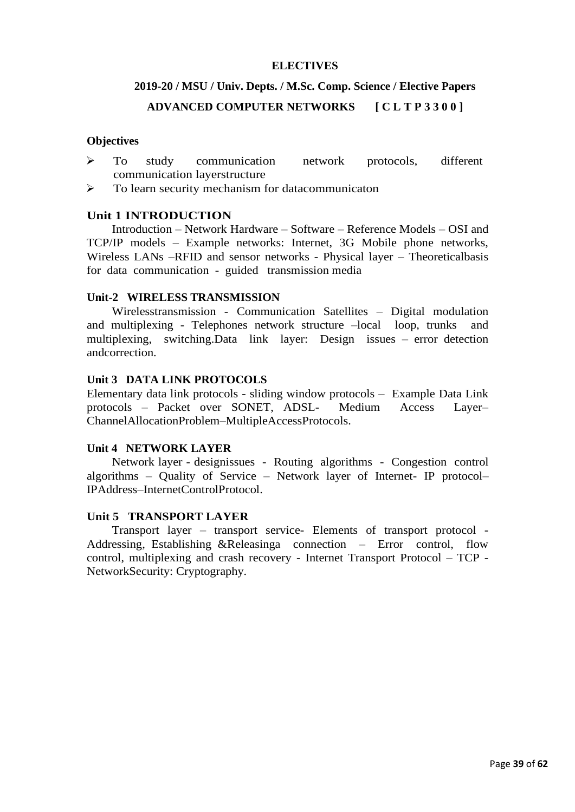#### **ELECTIVES**

# **2019-20 / MSU / Univ. Depts. / M.Sc. Comp. Science / Elective Papers ADVANCED COMPUTER NETWORKS [ C L T P 3 3 0 0 ]**

#### **Objectives**

- ➢ To study communication network protocols, different communication layerstructure
- ➢ To learn security mechanism for datacommunicaton

#### **Unit 1 INTRODUCTION**

Introduction – Network Hardware – Software – Reference Models – OSI and TCP/IP models – Example networks: Internet, 3G Mobile phone networks, Wireless LANs –RFID and sensor networks - Physical layer – Theoreticalbasis for data communication - guided transmission media

#### **Unit-2 WIRELESS TRANSMISSION**

Wirelesstransmission - Communication Satellites – Digital modulation and multiplexing - Telephones network structure –local loop, trunks and multiplexing, switching.Data link layer: Design issues – error detection andcorrection.

#### **Unit 3 DATA LINK PROTOCOLS**

Elementary data link protocols - sliding window protocols – Example Data Link protocols – Packet over SONET, ADSL- Medium Access Layer– ChannelAllocationProblem–MultipleAccessProtocols.

#### **Unit 4 NETWORK LAYER**

Network layer - designissues - Routing algorithms - Congestion control algorithms – Quality of Service – Network layer of Internet- IP protocol– IPAddress–InternetControlProtocol.

## **Unit 5 TRANSPORT LAYER**

Transport layer – transport service- Elements of transport protocol - Addressing, Establishing &Releasinga connection – Error control, flow control, multiplexing and crash recovery - Internet Transport Protocol – TCP - NetworkSecurity: Cryptography.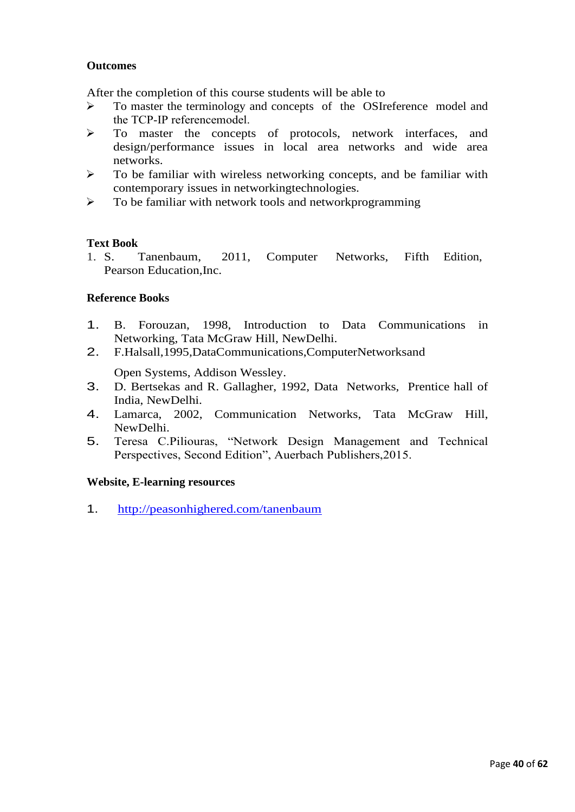## **Outcomes**

After the completion of this course students will be able to

- ➢ To master the terminology and concepts of the OSIreference model and the TCP‐IP referencemodel.
- ➢ To master the concepts of protocols, network interfaces, and design/performance issues in local area networks and wide area networks.
- ➢ To be familiar with wireless networking concepts, and be familiar with contemporary issues in networkingtechnologies.
- ➢ To be familiar with network tools and networkprogramming

#### **Text Book**

1. S. Tanenbaum, 2011, Computer Networks, Fifth Edition, Pearson Education,Inc.

## **Reference Books**

- 1. B. Forouzan, 1998, Introduction to Data Communications in Networking, Tata McGraw Hill, NewDelhi.
- 2. F.Halsall,1995,DataCommunications,ComputerNetworksand

Open Systems, Addison Wessley.

- 3. D. Bertsekas and R. Gallagher, 1992, Data Networks, Prentice hall of India, NewDelhi.
- 4. Lamarca, 2002, Communication Networks, Tata McGraw Hill, NewDelhi.
- 5. Teresa C.Piliouras, "Network Design Management and Technical Perspectives, Second Edition", Auerbach Publishers,2015.

#### **Website, E-learning resources**

1. <http://peasonhighered.com/tanenbaum>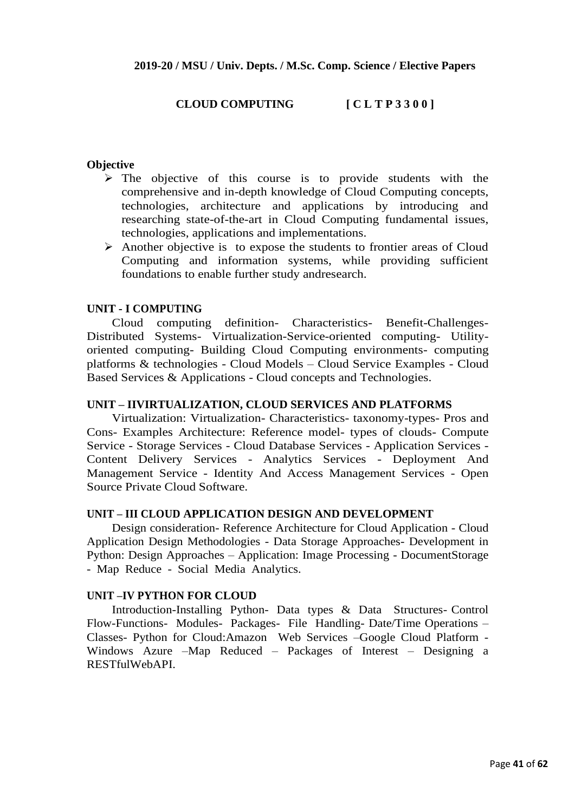## **CLOUD COMPUTING [ C L T P 3 3 0 0 ]**

#### **Objective**

- ➢ The objective of this course is to provide students with the comprehensive and in-depth knowledge of Cloud Computing concepts, technologies, architecture and applications by introducing and researching state-of-the-art in Cloud Computing fundamental issues, technologies, applications and implementations.
- ➢ Another objective is to expose the students to frontier areas of Cloud Computing and information systems, while providing sufficient foundations to enable further study andresearch.

#### **UNIT - I COMPUTING**

Cloud computing definition- Characteristics- Benefit-Challenges-Distributed Systems- Virtualization-Service-oriented computing- Utilityoriented computing- Building Cloud Computing environments- computing platforms & technologies - Cloud Models – Cloud Service Examples - Cloud Based Services & Applications - Cloud concepts and Technologies.

#### **UNIT – IIVIRTUALIZATION, CLOUD SERVICES AND PLATFORMS**

Virtualization: Virtualization- Characteristics- taxonomy-types- Pros and Cons- Examples Architecture: Reference model- types of clouds- Compute Service - Storage Services - Cloud Database Services - Application Services - Content Delivery Services - Analytics Services - Deployment And Management Service - Identity And Access Management Services - Open Source Private Cloud Software.

#### **UNIT – III CLOUD APPLICATION DESIGN AND DEVELOPMENT**

Design consideration- Reference Architecture for Cloud Application - Cloud Application Design Methodologies - Data Storage Approaches- Development in Python: Design Approaches – Application: Image Processing - DocumentStorage - Map Reduce - Social Media Analytics.

#### **UNIT –IV PYTHON FOR CLOUD**

Introduction-Installing Python- Data types & Data Structures- Control Flow-Functions- Modules- Packages- File Handling- Date/Time Operations – Classes- Python for Cloud:Amazon Web Services –Google Cloud Platform - Windows Azure –Map Reduced – Packages of Interest – Designing a RESTfulWebAPI.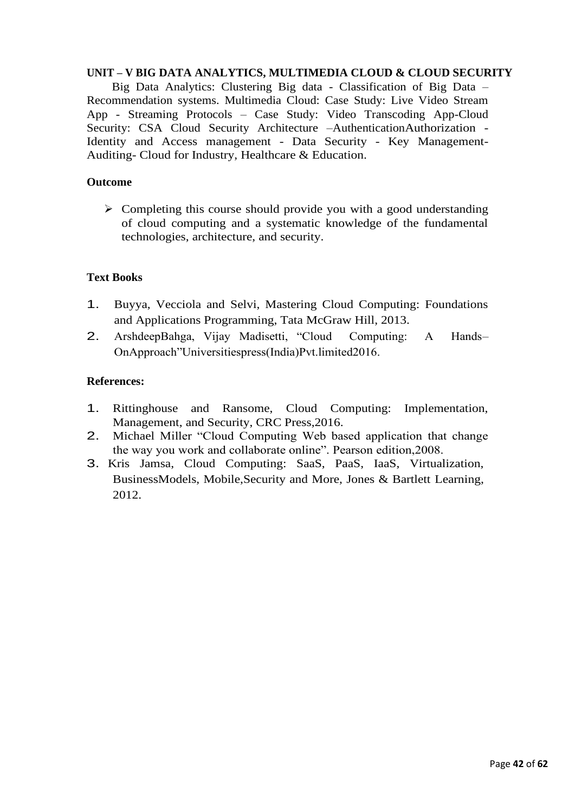## **UNIT – V BIG DATA ANALYTICS, MULTIMEDIA CLOUD & CLOUD SECURITY**

Big Data Analytics: Clustering Big data - Classification of Big Data – Recommendation systems. Multimedia Cloud: Case Study: Live Video Stream App - Streaming Protocols – Case Study: Video Transcoding App-Cloud Security: CSA Cloud Security Architecture -AuthenticationAuthorization -Identity and Access management - Data Security - Key Management-Auditing- Cloud for Industry, Healthcare & Education.

## **Outcome**

➢ Completing this course should provide you with a good understanding of cloud computing and a systematic knowledge of the fundamental technologies, architecture, and security.

## **Text Books**

- 1. Buyya, Vecciola and Selvi, Mastering Cloud Computing: Foundations and Applications Programming, Tata McGraw Hill, 2013.
- 2. ArshdeepBahga, Vijay Madisetti, "Cloud Computing: A Hands– OnApproach"Universitiespress(India)Pvt.limited2016.

## **References:**

- 1. Rittinghouse and Ransome, Cloud Computing: Implementation, Management, and Security, CRC Press,2016.
- 2. Michael Miller "Cloud Computing Web based application that change the way you work and collaborate online". Pearson edition,2008.
- 3. Kris Jamsa, Cloud Computing: SaaS, PaaS, IaaS, Virtualization, BusinessModels, Mobile,Security and More, Jones & Bartlett Learning, 2012.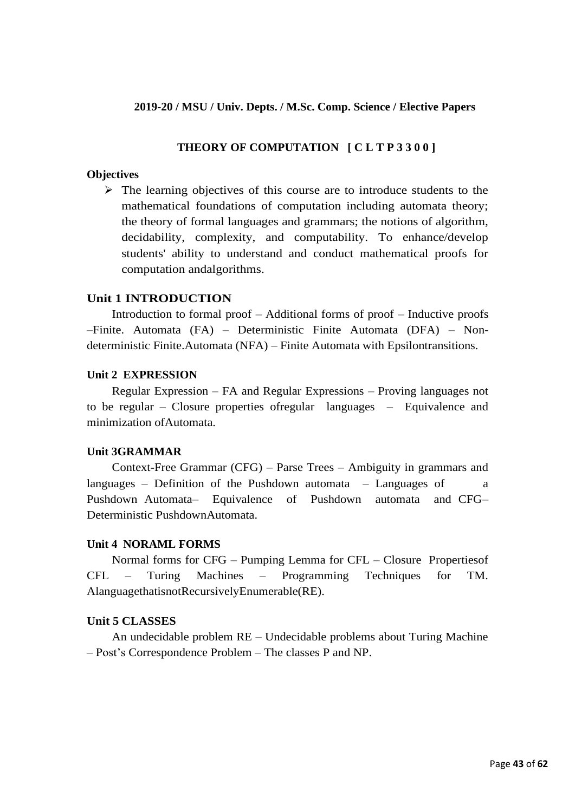## **2019-20 / MSU / Univ. Depts. / M.Sc. Comp. Science / Elective Papers**

## **THEORY OF COMPUTATION [ C L T P 3 3 0 0 ]**

#### **Objectives**

➢ The learning objectives of this course are to introduce students to the mathematical foundations of computation including automata theory; the theory of formal languages and grammars; the notions of algorithm, decidability, complexity, and computability. To enhance/develop students' ability to understand and conduct mathematical proofs for computation andalgorithms.

#### **Unit 1 INTRODUCTION**

Introduction to formal proof – Additional forms of proof – Inductive proofs –Finite. Automata (FA) – Deterministic Finite Automata (DFA) – Nondeterministic Finite.Automata (NFA) – Finite Automata with Epsilontransitions.

#### **Unit 2 EXPRESSION**

Regular Expression – FA and Regular Expressions – Proving languages not to be regular – Closure properties ofregular languages – Equivalence and minimization ofAutomata.

## **Unit 3GRAMMAR**

Context-Free Grammar (CFG) – Parse Trees – Ambiguity in grammars and languages – Definition of the Pushdown automata – Languages of  $\qquad a$ Pushdown Automata– Equivalence of Pushdown automata and CFG– Deterministic PushdownAutomata.

#### **Unit 4 NORAML FORMS**

Normal forms for CFG – Pumping Lemma for CFL – Closure Propertiesof CFL – Turing Machines – Programming Techniques for TM. AlanguagethatisnotRecursivelyEnumerable(RE).

#### **Unit 5 CLASSES**

An undecidable problem RE – Undecidable problems about Turing Machine – Post's Correspondence Problem – The classes P and NP.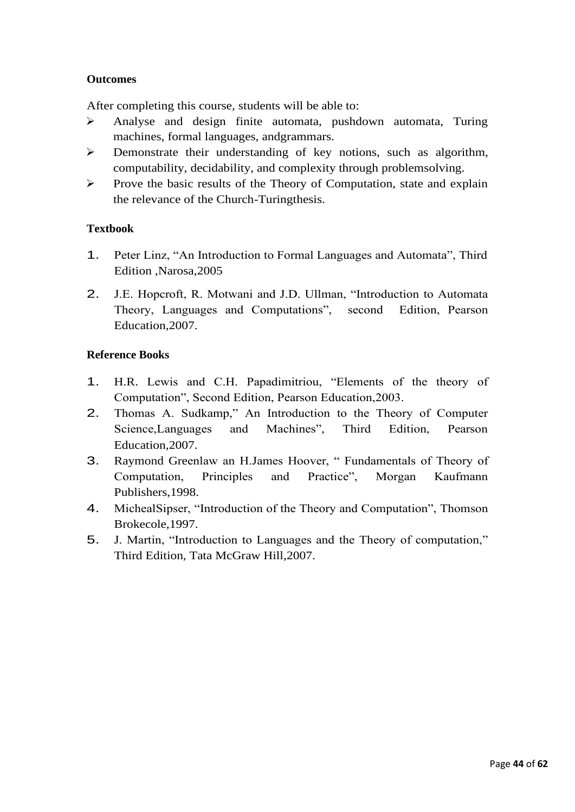## **Outcomes**

After completing this course, students will be able to:

- ➢ Analyse and design finite automata, pushdown automata, Turing machines, formal languages, andgrammars.
- ➢ Demonstrate their understanding of key notions, such as algorithm, computability, decidability, and complexity through problemsolving.
- ➢ Prove the basic results of the Theory of Computation, state and explain the relevance of the Church-Turingthesis.

## **Textbook**

- 1. Peter Linz, "An Introduction to Formal Languages and Automata", Third Edition ,Narosa,2005
- 2. J.E. Hopcroft, R. Motwani and J.D. Ullman, "Introduction to Automata Theory, Languages and Computations", second Edition, Pearson Education,2007.

## **Reference Books**

- 1. H.R. Lewis and C.H. Papadimitriou, "Elements of the theory of Computation", Second Edition, Pearson Education,2003.
- 2. Thomas A. Sudkamp," An Introduction to the Theory of Computer Science,Languages and Machines", Third Edition, Pearson Education,2007.
- 3. Raymond Greenlaw an H.James Hoover, " Fundamentals of Theory of Computation, Principles and Practice", Morgan Kaufmann Publishers,1998.
- 4. MichealSipser, "Introduction of the Theory and Computation", Thomson Brokecole,1997.
- 5. J. Martin, "Introduction to Languages and the Theory of computation," Third Edition, Tata McGraw Hill,2007.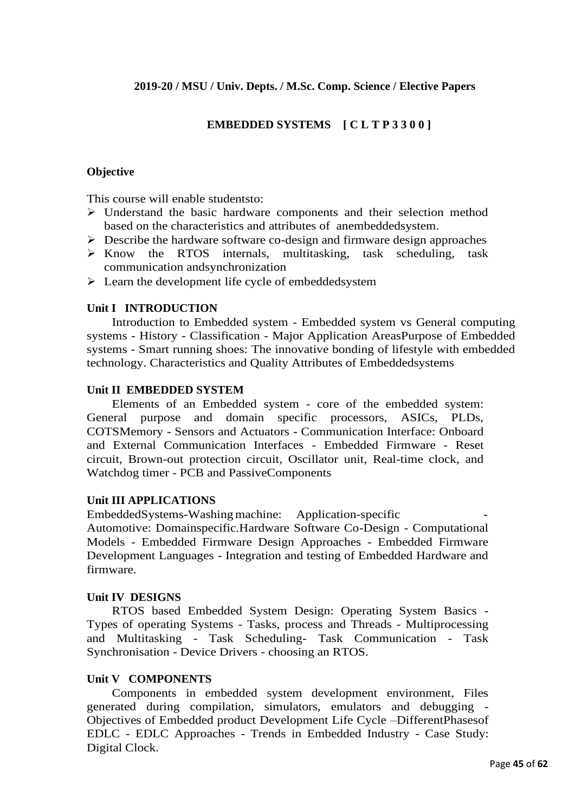## **EMBEDDED SYSTEMS [ C L T P 3 3 0 0 ]**

## **Objective**

This course will enable studentsto:

- ➢ Understand the basic hardware components and their selection method based on the characteristics and attributes of anembeddedsystem.
- ➢ Describe the hardware software co-design and firmware design approaches
- ➢ Know the RTOS internals, multitasking, task scheduling, task communication andsynchronization
- ➢ Learn the development life cycle of embeddedsystem

#### **Unit I INTRODUCTION**

Introduction to Embedded system - Embedded system vs General computing systems - History - Classification - Major Application AreasPurpose of Embedded systems - Smart running shoes: The innovative bonding of lifestyle with embedded technology. Characteristics and Quality Attributes of Embeddedsystems

## **Unit II EMBEDDED SYSTEM**

Elements of an Embedded system - core of the embedded system: General purpose and domain specific processors, ASICs, PLDs, COTSMemory - Sensors and Actuators - Communication Interface: Onboard and External Communication Interfaces - Embedded Firmware - Reset circuit, Brown-out protection circuit, Oscillator unit, Real-time clock, and Watchdog timer - PCB and PassiveComponents

#### **Unit III APPLICATIONS**

EmbeddedSystems-Washing machine: Application-specific Automotive: Domainspecific.Hardware Software Co-Design - Computational Models - Embedded Firmware Design Approaches - Embedded Firmware Development Languages - Integration and testing of Embedded Hardware and firmware.

#### **Unit IV DESIGNS**

RTOS based Embedded System Design: Operating System Basics - Types of operating Systems - Tasks, process and Threads - Multiprocessing and Multitasking - Task Scheduling- Task Communication - Task Synchronisation - Device Drivers - choosing an RTOS.

#### **Unit V COMPONENTS**

Components in embedded system development environment, Files generated during compilation, simulators, emulators and debugging - Objectives of Embedded product Development Life Cycle –DifferentPhasesof EDLC - EDLC Approaches - Trends in Embedded Industry - Case Study: Digital Clock.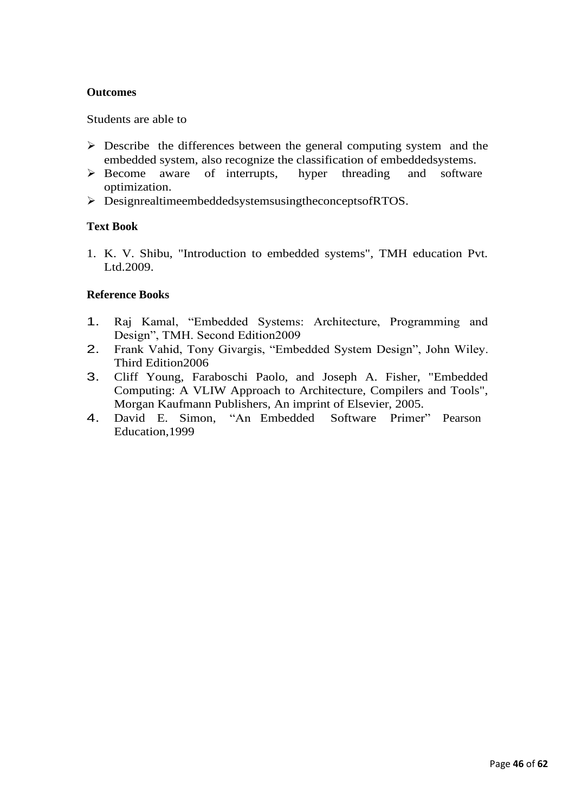## **Outcomes**

Students are able to

- $\triangleright$  Describe the differences between the general computing system and the embedded system, also recognize the classification of embeddedsystems.
- ➢ Become aware of interrupts, hyper threading and software optimization.
- ➢ DesignrealtimeembeddedsystemsusingtheconceptsofRTOS.

## **Text Book**

1. K. V. Shibu, "Introduction to embedded systems", TMH education Pvt. Ltd.2009.

## **Reference Books**

- 1. Raj Kamal, "Embedded Systems: Architecture, Programming and Design", TMH. Second Edition2009
- 2. Frank Vahid, Tony Givargis, "Embedded System Design", John Wiley. Third Edition2006
- 3. Cliff Young, Faraboschi Paolo, and Joseph A. Fisher, "Embedded Computing: A VLIW Approach to Architecture, Compilers and Tools", Morgan Kaufmann Publishers, An imprint of Elsevier, 2005.
- 4. David E. Simon, "An Embedded Software Primer" Pearson Education,1999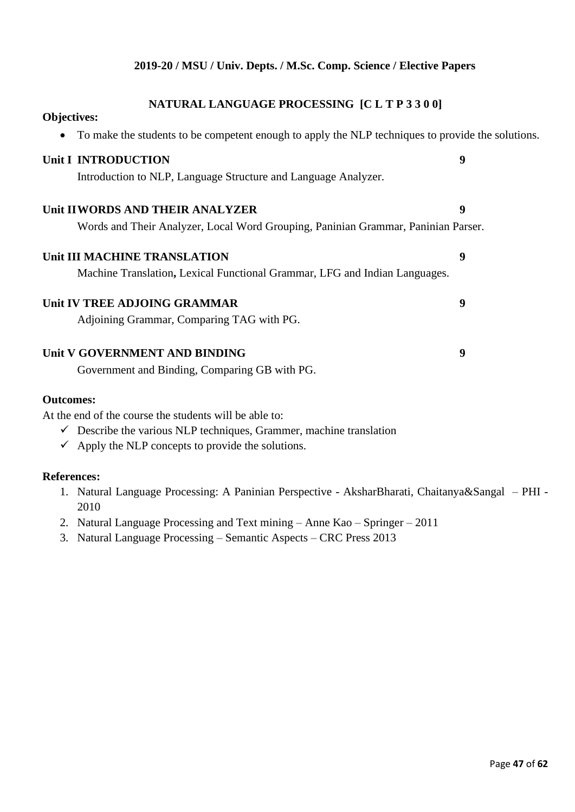## **NATURAL LANGUAGE PROCESSING [C L T P 3 3 0 0]**

**Objectives:**

| ODJECHVES:                                                                                        |   |
|---------------------------------------------------------------------------------------------------|---|
| To make the students to be competent enough to apply the NLP techniques to provide the solutions. |   |
| Unit I INTRODUCTION                                                                               | 9 |
| Introduction to NLP, Language Structure and Language Analyzer.                                    |   |
| Unit IIWORDS AND THEIR ANALYZER                                                                   | 9 |
| Words and Their Analyzer, Local Word Grouping, Paninian Grammar, Paninian Parser.                 |   |
| Unit III MACHINE TRANSLATION                                                                      | 9 |
| Machine Translation, Lexical Functional Grammar, LFG and Indian Languages.                        |   |
| Unit IV TREE ADJOING GRAMMAR                                                                      | 9 |
| Adjoining Grammar, Comparing TAG with PG.                                                         |   |
| Unit V GOVERNMENT AND BINDING                                                                     | 9 |
| Government and Binding, Comparing GB with PG.                                                     |   |
| <b>Outcomes:</b>                                                                                  |   |
| At the end of the course the students will be able to:                                            |   |
| $\checkmark$ Describe the various NLP techniques, Grammer, machine translation                    |   |
| $\checkmark$ Apply the NLP concepts to provide the solutions.                                     |   |
| <b>References:</b>                                                                                |   |
| 1. Natural Language Processing: A Paninian Perspective - AksharBharati, Chaitanya&Sangal - PHI -  |   |

- 2010
- 2. Natural Language Processing and Text mining Anne Kao Springer 2011
- 3. Natural Language Processing Semantic Aspects CRC Press 2013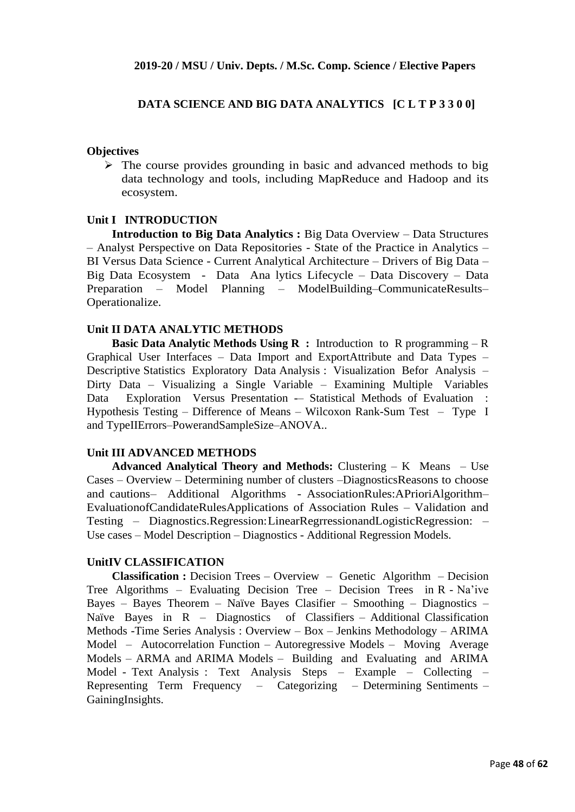## **DATA SCIENCE AND BIG DATA ANALYTICS [C L T P 3 3 0 0]**

#### **Objectives**

 $\triangleright$  The course provides grounding in basic and advanced methods to big data technology and tools, including MapReduce and Hadoop and its ecosystem.

#### **Unit I INTRODUCTION**

**Introduction to Big Data Analytics :** Big Data Overview – Data Structures – Analyst Perspective on Data Repositories - State of the Practice in Analytics – BI Versus Data Science - Current Analytical Architecture – Drivers of Big Data – Big Data Ecosystem - Data Ana lytics Lifecycle – Data Discovery – Data Preparation – Model Planning – ModelBuilding–CommunicateResults– Operationalize.

#### **Unit II DATA ANALYTIC METHODS**

**Basic Data Analytic Methods Using R :** Introduction to R programming – R Graphical User Interfaces – Data Import and ExportAttribute and Data Types – Descriptive Statistics Exploratory Data Analysis : Visualization Befor Analysis – Dirty Data – Visualizing a Single Variable – Examining Multiple Variables Data Exploration Versus Presentation -- Statistical Methods of Evaluation : Hypothesis Testing – Difference of Means – Wilcoxon Rank-Sum Test – Type I and TypeIIErrors–PowerandSampleSize–ANOVA..

#### **Unit III ADVANCED METHODS**

**Advanced Analytical Theory and Methods:** Clustering – K Means – Use Cases – Overview – Determining number of clusters –DiagnosticsReasons to choose and cautions– Additional Algorithms - AssociationRules:APrioriAlgorithm– EvaluationofCandidateRulesApplications of Association Rules – Validation and Testing – Diagnostics.Regression:LinearRegrressionandLogisticRegression: – Use cases – Model Description – Diagnostics - Additional Regression Models.

#### **UnitIV CLASSIFICATION**

**Classification :** Decision Trees – Overview – Genetic Algorithm – Decision Tree Algorithms – Evaluating Decision Tree – Decision Trees in R - Na'ive Bayes – Bayes Theorem – Naïve Bayes Clasifier – Smoothing – Diagnostics – Naïve Bayes in R – Diagnostics of Classifiers – Additional Classification Methods -Time Series Analysis : Overview – Box – Jenkins Methodology – ARIMA Model – Autocorrelation Function – Autoregressive Models – Moving Average Models – ARMA and ARIMA Models – Building and Evaluating and ARIMA Model - Text Analysis : Text Analysis Steps – Example – Collecting – Representing Term Frequency – Categorizing – Determining Sentiments – GainingInsights.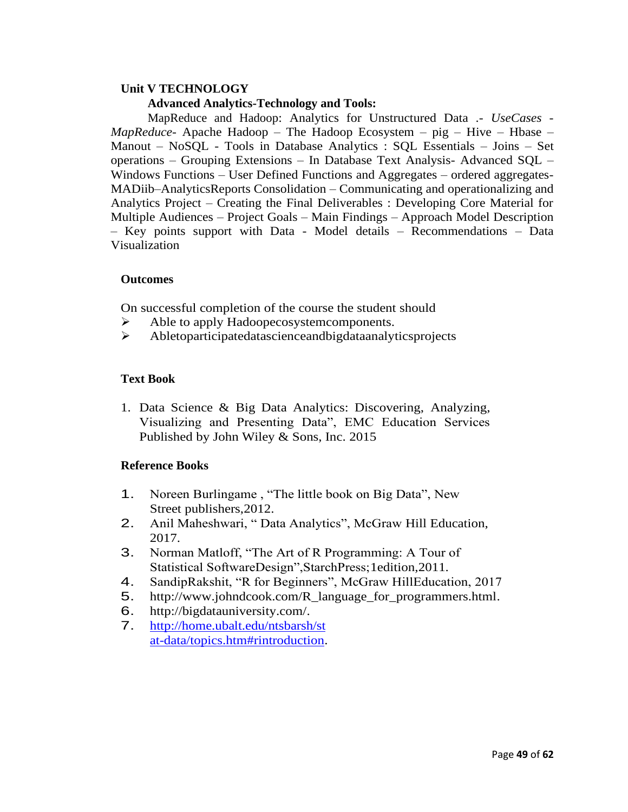# **Unit V TECHNOLOGY**

## **Advanced Analytics-Technology and Tools:**

MapReduce and Hadoop: Analytics for Unstructured Data .- *UseCases - MapReduce*- Apache Hadoop – The Hadoop Ecosystem – pig – Hive – Hbase – Manout – NoSQL - Tools in Database Analytics : SQL Essentials – Joins – Set operations – Grouping Extensions – In Database Text Analysis- Advanced SQL – Windows Functions – User Defined Functions and Aggregates – ordered aggregates-MADiib–AnalyticsReports Consolidation – Communicating and operationalizing and Analytics Project – Creating the Final Deliverables : Developing Core Material for Multiple Audiences – Project Goals – Main Findings – Approach Model Description – Key points support with Data - Model details – Recommendations – Data Visualization

## **Outcomes**

On successful completion of the course the student should

- ➢ Able to apply Hadoopecosystemcomponents.
- ➢ Abletoparticipatedatascienceandbigdataanalyticsprojects

## **Text Book**

1. Data Science & Big Data Analytics: Discovering, Analyzing, Visualizing and Presenting Data", EMC Education Services Published by John Wiley & Sons, Inc. 2015

## **Reference Books**

- 1. Noreen Burlingame , "The little book on Big Data", New Street publishers,2012.
- 2. Anil Maheshwari, " Data Analytics", McGraw Hill Education, 2017.
- 3. Norman Matloff, "The Art of R Programming: A Tour of Statistical SoftwareDesign",StarchPress;1edition,2011.
- 4. SandipRakshit, "R for Beginners", McGraw HillEducation, 2017
- 5. [http://www.johndcook.com/R\\_language\\_for\\_programmers.html.](http://www.johndcook.com/R_language_for_programmers.html)
- 6. [http://bigdatauniversity.com/.](http://bigdatauniversity.com/)
- 7. [http://home.ubalt.edu/ntsbarsh/st](http://home.ubalt.edu/ntsbarsh/stat-data/topics.htm#rintroduction) [at-data/topics.htm#rintroduction.](http://home.ubalt.edu/ntsbarsh/stat-data/topics.htm#rintroduction)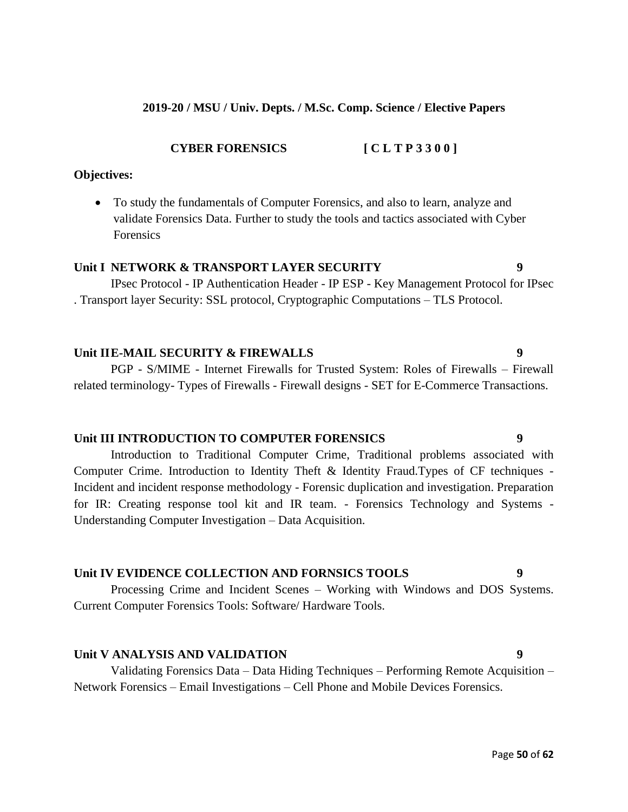## **2019-20 / MSU / Univ. Depts. / M.Sc. Comp. Science / Elective Papers**

**CYBER FORENSICS [ C L T P 3 3 0 0 ]**

#### **Objectives:**

• To study the fundamentals of Computer Forensics, and also to learn, analyze and validate Forensics Data. Further to study the tools and tactics associated with Cyber Forensics

#### **Unit I NETWORK & TRANSPORT LAYER SECURITY 9**

IPsec Protocol - IP Authentication Header - IP ESP - Key Management Protocol for IPsec . Transport layer Security: SSL protocol, Cryptographic Computations – TLS Protocol.

#### **Unit IIE-MAIL SECURITY & FIREWALLS 9**

PGP - S/MIME - Internet Firewalls for Trusted System: Roles of Firewalls – Firewall related terminology- Types of Firewalls - Firewall designs - SET for E-Commerce Transactions.

#### **Unit III INTRODUCTION TO COMPUTER FORENSICS 9**

Introduction to Traditional Computer Crime, Traditional problems associated with Computer Crime. Introduction to Identity Theft & Identity Fraud.Types of CF techniques - Incident and incident response methodology - Forensic duplication and investigation. Preparation for IR: Creating response tool kit and IR team. - Forensics Technology and Systems - Understanding Computer Investigation – Data Acquisition.

#### **Unit IV EVIDENCE COLLECTION AND FORNSICS TOOLS 9**

Processing Crime and Incident Scenes – Working with Windows and DOS Systems. Current Computer Forensics Tools: Software/ Hardware Tools.

#### **Unit V ANALYSIS AND VALIDATION 9**

Validating Forensics Data – Data Hiding Techniques – Performing Remote Acquisition – Network Forensics – Email Investigations – Cell Phone and Mobile Devices Forensics.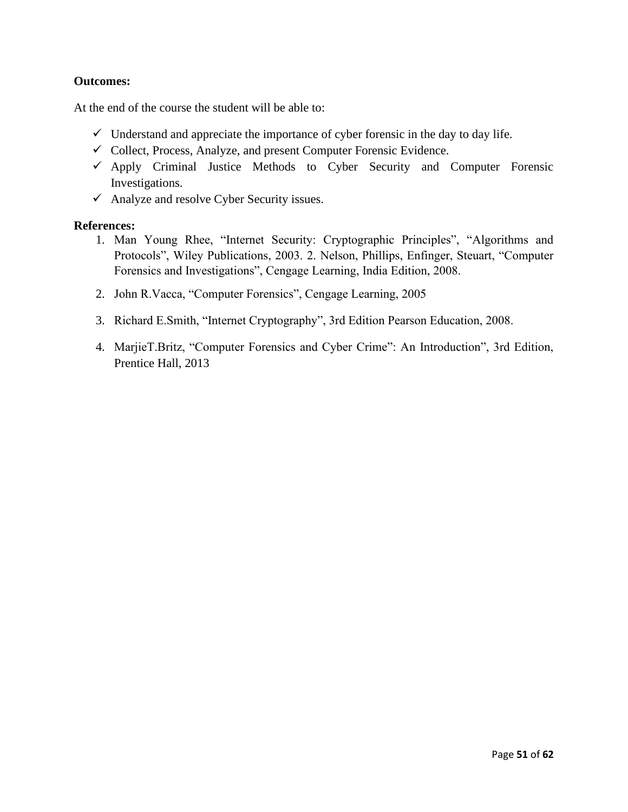### **Outcomes:**

At the end of the course the student will be able to:

- $\checkmark$  Understand and appreciate the importance of cyber forensic in the day to day life.
- $\checkmark$  Collect, Process, Analyze, and present Computer Forensic Evidence.
- $\checkmark$  Apply Criminal Justice Methods to Cyber Security and Computer Forensic Investigations.
- $\checkmark$  Analyze and resolve Cyber Security issues.

#### **References:**

- 1. Man Young Rhee, "Internet Security: Cryptographic Principles", "Algorithms and Protocols", Wiley Publications, 2003. 2. Nelson, Phillips, Enfinger, Steuart, "Computer Forensics and Investigations", Cengage Learning, India Edition, 2008.
- 2. John R.Vacca, "Computer Forensics", Cengage Learning, 2005
- 3. Richard E.Smith, "Internet Cryptography", 3rd Edition Pearson Education, 2008.
- 4. MarjieT.Britz, "Computer Forensics and Cyber Crime": An Introduction", 3rd Edition, Prentice Hall, 2013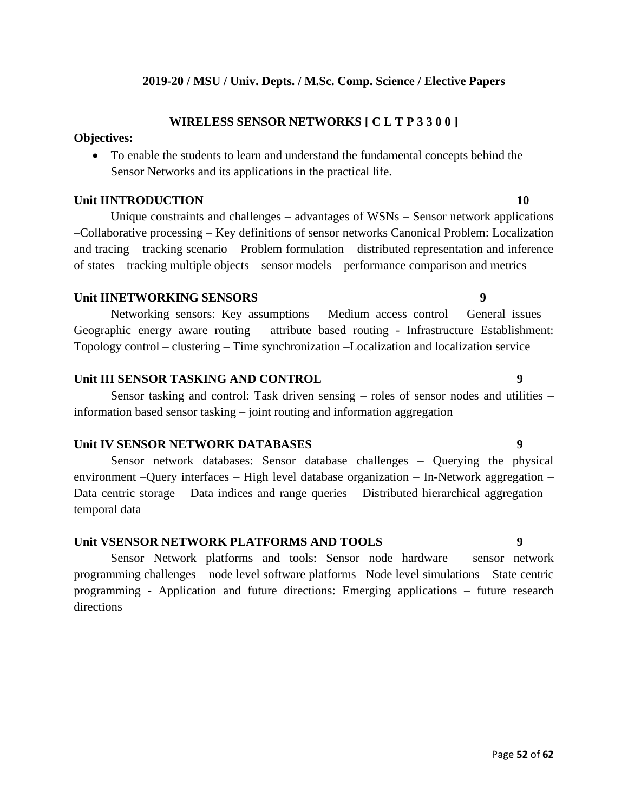### **2019-20 / MSU / Univ. Depts. / M.Sc. Comp. Science / Elective Papers**

## **WIRELESS SENSOR NETWORKS [ C L T P 3 3 0 0 ]**

### **Objectives:**

• To enable the students to learn and understand the fundamental concepts behind the Sensor Networks and its applications in the practical life.

### **Unit IINTRODUCTION 10**

Unique constraints and challenges – advantages of WSNs – Sensor network applications –Collaborative processing – Key definitions of sensor networks Canonical Problem: Localization and tracing – tracking scenario – Problem formulation – distributed representation and inference of states – tracking multiple objects – sensor models – performance comparison and metrics

#### **Unit IINETWORKING SENSORS 9**

Networking sensors: Key assumptions – Medium access control – General issues – Geographic energy aware routing – attribute based routing - Infrastructure Establishment: Topology control – clustering – Time synchronization –Localization and localization service

## **Unit III SENSOR TASKING AND CONTROL 9**

Sensor tasking and control: Task driven sensing – roles of sensor nodes and utilities – information based sensor tasking – joint routing and information aggregation

### **Unit IV SENSOR NETWORK DATABASES 9**

Sensor network databases: Sensor database challenges – Querying the physical environment –Query interfaces – High level database organization – In-Network aggregation – Data centric storage – Data indices and range queries – Distributed hierarchical aggregation – temporal data

#### **Unit VSENSOR NETWORK PLATFORMS AND TOOLS 9**

Sensor Network platforms and tools: Sensor node hardware – sensor network programming challenges – node level software platforms –Node level simulations – State centric programming - Application and future directions: Emerging applications – future research directions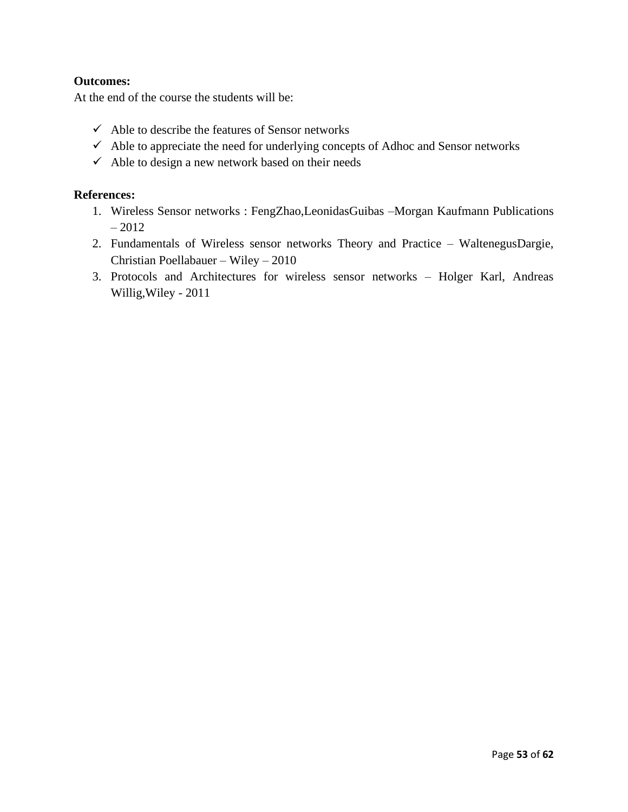## **Outcomes:**

At the end of the course the students will be:

- $\checkmark$  Able to describe the features of Sensor networks
- $\checkmark$  Able to appreciate the need for underlying concepts of Adhoc and Sensor networks
- $\checkmark$  Able to design a new network based on their needs

#### **References:**

- 1. Wireless Sensor networks : FengZhao,LeonidasGuibas –Morgan Kaufmann Publications – 2012
- 2. Fundamentals of Wireless sensor networks Theory and Practice WaltenegusDargie, Christian Poellabauer – Wiley – 2010
- 3. Protocols and Architectures for wireless sensor networks Holger Karl, Andreas Willig,Wiley - 2011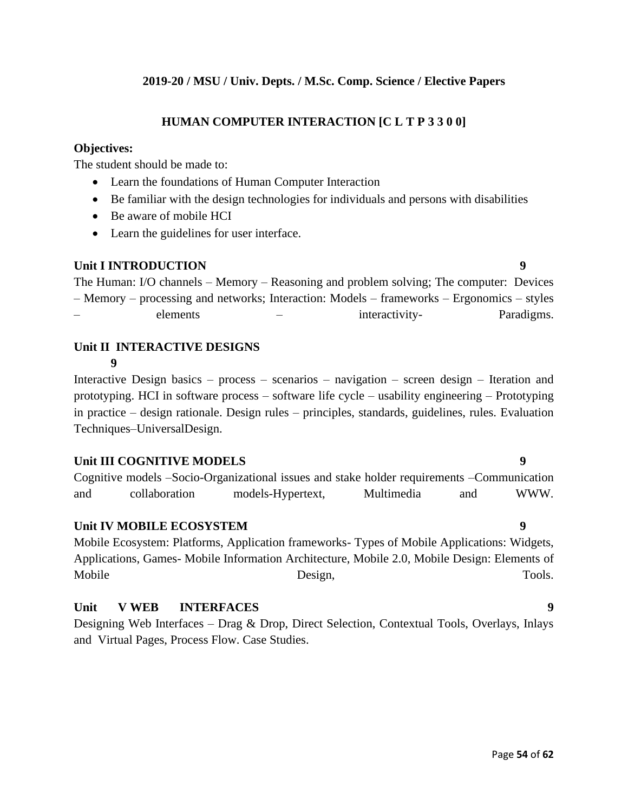### **2019-20 / MSU / Univ. Depts. / M.Sc. Comp. Science / Elective Papers**

## **HUMAN COMPUTER INTERACTION [C L T P 3 3 0 0]**

#### **Objectives:**

The student should be made to:

- Learn the foundations of Human Computer Interaction
- Be familiar with the design technologies for individuals and persons with disabilities
- Be aware of mobile HCI
- Learn the guidelines for user interface.

#### **Unit I INTRODUCTION 9**

The Human: I/O channels – Memory – Reasoning and problem solving; The computer: Devices – Memory – processing and networks; Interaction: Models – frameworks – Ergonomics – styles – elements – interactivity- Paradigms.

#### **Unit II INTERACTIVE DESIGNS 9**

Interactive Design basics – process – scenarios – navigation – screen design – Iteration and prototyping. HCI in software process – software life cycle – usability engineering – Prototyping in practice – design rationale. Design rules – principles, standards, guidelines, rules. Evaluation Techniques–UniversalDesign.

#### **Unit III COGNITIVE MODELS 9**

Cognitive models –Socio-Organizational issues and stake holder requirements –Communication and collaboration models-Hypertext, Multimedia and WWW.

#### **Unit IV MOBILE ECOSYSTEM 9**

Mobile Ecosystem: Platforms, Application frameworks- Types of Mobile Applications: Widgets, Applications, Games- Mobile Information Architecture, Mobile 2.0, Mobile Design: Elements of Mobile Design, Design, Tools.

#### **Unit V WEB INTERFACES 9**

Designing Web Interfaces – Drag & Drop, Direct Selection, Contextual Tools, Overlays, Inlays and Virtual Pages, Process Flow. Case Studies.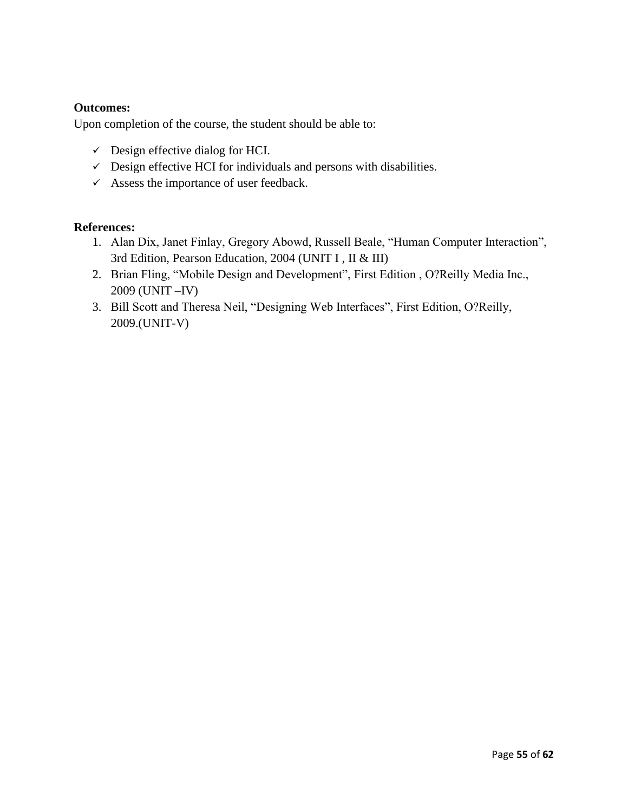## **Outcomes:**

Upon completion of the course, the student should be able to:

- $\checkmark$  Design effective dialog for HCI.
- $\checkmark$  Design effective HCI for individuals and persons with disabilities.
- $\checkmark$  Assess the importance of user feedback.

#### **References:**

- 1. Alan Dix, Janet Finlay, Gregory Abowd, Russell Beale, "Human Computer Interaction", 3rd Edition, Pearson Education, 2004 (UNIT I , II & III)
- 2. Brian Fling, "Mobile Design and Development", First Edition , O?Reilly Media Inc., 2009 (UNIT –IV)
- 3. Bill Scott and Theresa Neil, "Designing Web Interfaces", First Edition, O?Reilly, 2009.(UNIT-V)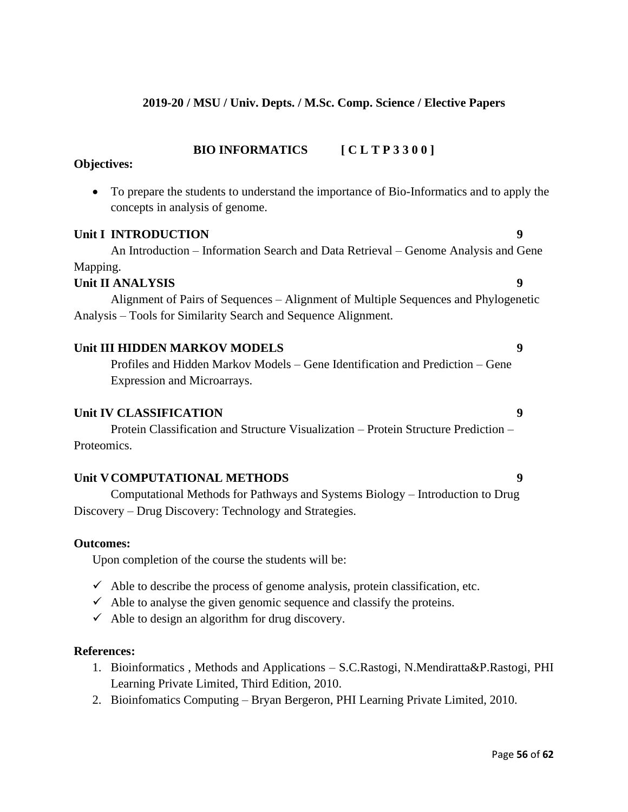### **2019-20 / MSU / Univ. Depts. / M.Sc. Comp. Science / Elective Papers**

#### **BIO INFORMATICS [ C L T P 3 3 0 0 ]**

#### **Objectives:**

• To prepare the students to understand the importance of Bio-Informatics and to apply the concepts in analysis of genome.

#### **Unit I INTRODUCTION 9**

An Introduction – Information Search and Data Retrieval – Genome Analysis and Gene Mapping.

## **Unit II ANALYSIS 9**

Alignment of Pairs of Sequences – Alignment of Multiple Sequences and Phylogenetic Analysis – Tools for Similarity Search and Sequence Alignment.

#### **Unit III HIDDEN MARKOV MODELS 9**

Profiles and Hidden Markov Models – Gene Identification and Prediction – Gene Expression and Microarrays.

#### **Unit IV CLASSIFICATION 9**

Protein Classification and Structure Visualization – Protein Structure Prediction – Proteomics.

#### **Unit VCOMPUTATIONAL METHODS 9**

Computational Methods for Pathways and Systems Biology – Introduction to Drug Discovery – Drug Discovery: Technology and Strategies.

#### **Outcomes:**

Upon completion of the course the students will be:

- $\checkmark$  Able to describe the process of genome analysis, protein classification, etc.
- $\checkmark$  Able to analyse the given genomic sequence and classify the proteins.
- $\checkmark$  Able to design an algorithm for drug discovery.

#### **References:**

- 1. Bioinformatics , Methods and Applications S.C.Rastogi, N.Mendiratta&P.Rastogi, PHI Learning Private Limited, Third Edition, 2010.
- 2. Bioinfomatics Computing Bryan Bergeron, PHI Learning Private Limited, 2010.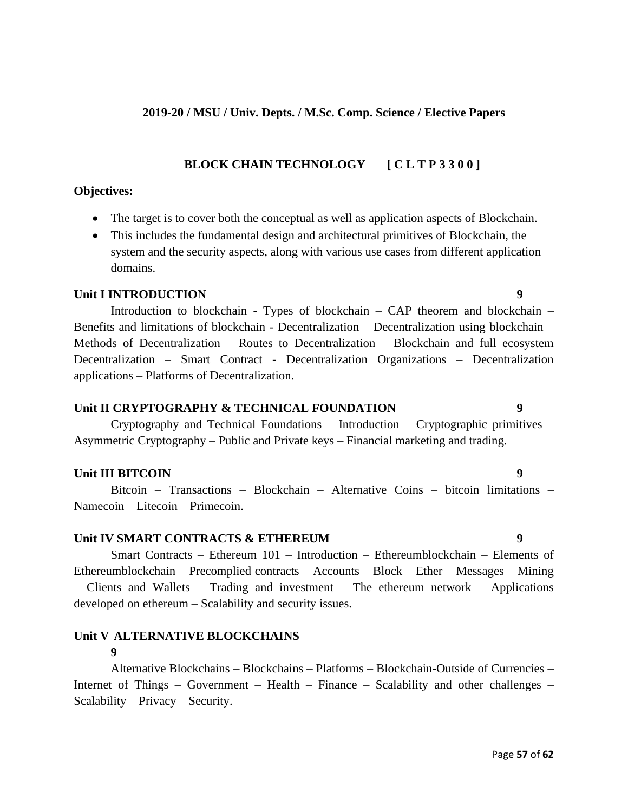## **2019-20 / MSU / Univ. Depts. / M.Sc. Comp. Science / Elective Papers**

## **BLOCK CHAIN TECHNOLOGY [ C L T P 3 3 0 0 ]**

## **Objectives:**

- The target is to cover both the conceptual as well as application aspects of Blockchain.
- This includes the fundamental design and architectural primitives of Blockchain, the system and the security aspects, along with various use cases from different application domains.

#### **Unit I INTRODUCTION** 9

Introduction to blockchain - Types of blockchain – CAP theorem and blockchain – Benefits and limitations of blockchain - Decentralization – Decentralization using blockchain – Methods of Decentralization – Routes to Decentralization – Blockchain and full ecosystem Decentralization – Smart Contract - Decentralization Organizations – Decentralization applications – Platforms of Decentralization.

## **Unit II CRYPTOGRAPHY & TECHNICAL FOUNDATION 9**

Cryptography and Technical Foundations – Introduction – Cryptographic primitives – Asymmetric Cryptography – Public and Private keys – Financial marketing and trading.

## **Unit III BITCOIN** 9

Bitcoin – Transactions – Blockchain – Alternative Coins – bitcoin limitations – Namecoin – Litecoin – Primecoin.

## **Unit IV SMART CONTRACTS & ETHEREUM 9**

Smart Contracts – Ethereum 101 – Introduction – Ethereumblockchain – Elements of Ethereumblockchain – Precomplied contracts – Accounts – Block – Ether – Messages – Mining – Clients and Wallets – Trading and investment – The ethereum network – Applications developed on ethereum – Scalability and security issues.

#### **Unit V ALTERNATIVE BLOCKCHAINS 9**

Alternative Blockchains – Blockchains – Platforms – Blockchain-Outside of Currencies – Internet of Things – Government – Health – Finance – Scalability and other challenges – Scalability – Privacy – Security.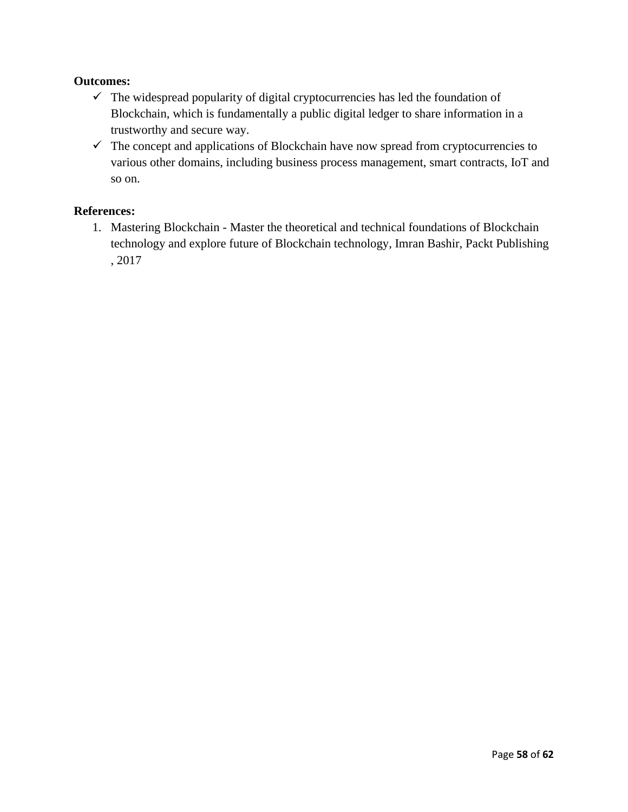### **Outcomes:**

- $\checkmark$  The widespread popularity of digital cryptocurrencies has led the foundation of Blockchain, which is fundamentally a public digital ledger to share information in a trustworthy and secure way.
- $\checkmark$  The concept and applications of Blockchain have now spread from cryptocurrencies to various other domains, including business process management, smart contracts, IoT and so on.

## **References:**

1. Mastering Blockchain - Master the theoretical and technical foundations of Blockchain technology and explore future of Blockchain technology, Imran Bashir, Packt Publishing , 2017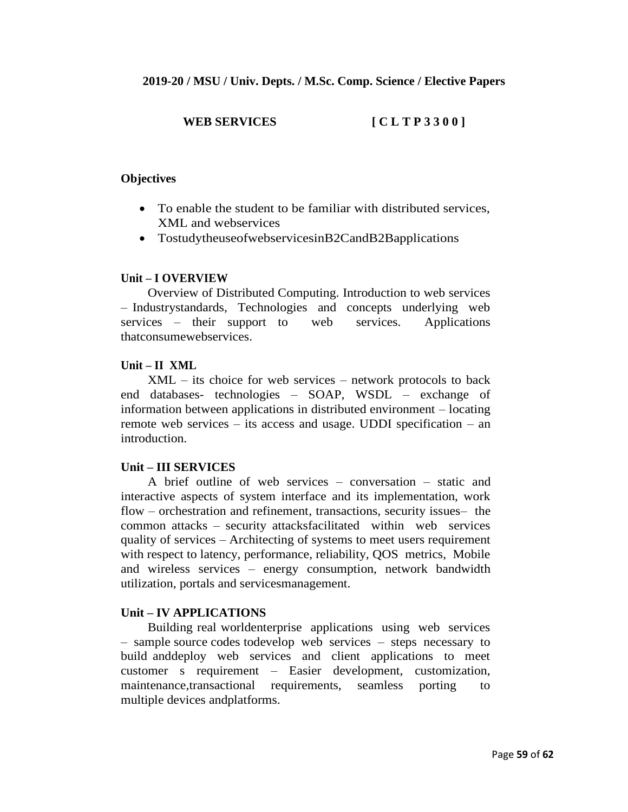## **WEB SERVICES [ C L T P 3 3 0 0 ]**

#### **Objectives**

- To enable the student to be familiar with distributed services, XML and webservices
- TostudytheuseofwebservicesinB2CandB2Bapplications

#### **Unit – I OVERVIEW**

Overview of Distributed Computing. Introduction to web services – Industrystandards, Technologies and concepts underlying web services – their support to web services. Applications thatconsumewebservices.

#### **Unit – II XML**

XML – its choice for web services – network protocols to back end databases- technologies – SOAP, WSDL – exchange of information between applications in distributed environment – locating remote web services – its access and usage. UDDI specification – an introduction.

#### **Unit – III SERVICES**

A brief outline of web services – conversation – static and interactive aspects of system interface and its implementation, work flow – orchestration and refinement, transactions, security issues– the common attacks – security attacksfacilitated within web services quality of services – Architecting of systems to meet users requirement with respect to latency, performance, reliability, OOS metrics, Mobile and wireless services – energy consumption, network bandwidth utilization, portals and servicesmanagement.

#### **Unit – IV APPLICATIONS**

Building real worldenterprise applications using web services – sample source codes todevelop web services – steps necessary to build anddeploy web services and client applications to meet customer s requirement – Easier development, customization, maintenance,transactional requirements, seamless porting to multiple devices andplatforms.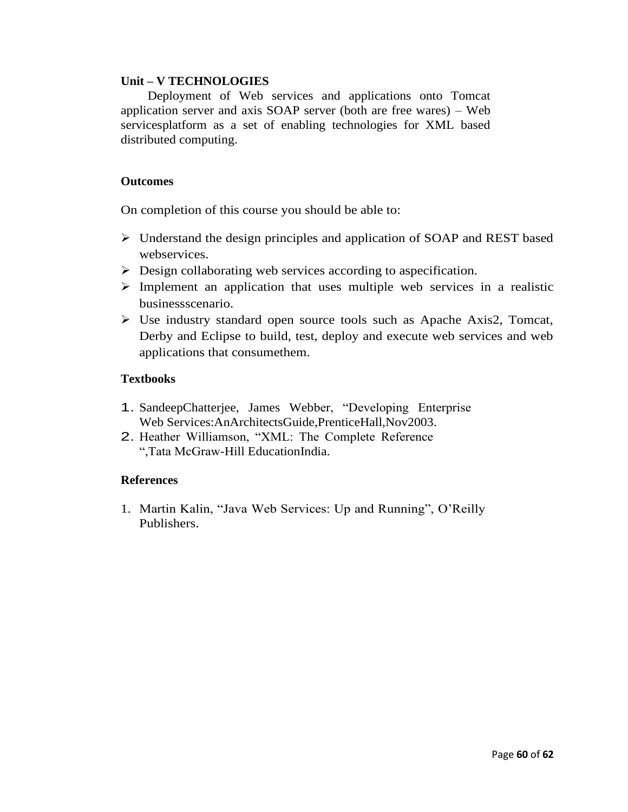#### **Unit – V TECHNOLOGIES**

Deployment of Web services and applications onto Tomcat application server and axis SOAP server (both are free wares) – Web servicesplatform as a set of enabling technologies for XML based distributed computing.

#### **Outcomes**

On completion of this course you should be able to:

- ➢ Understand the design principles and application of SOAP and REST based webservices.
- ➢ Design collaborating web services according to aspecification.
- ➢ Implement an application that uses multiple web services in a realistic businessscenario.
- ➢ Use industry standard open source tools such as Apache Axis2, Tomcat, Derby and Eclipse to build, test, deploy and execute web services and web applications that consumethem.

#### **Textbooks**

- 1. SandeepChatterjee, James Webber, "Developing Enterprise Web Services:AnArchitectsGuide,PrenticeHall,Nov2003.
- 2. Heather Williamson, "XML: The Complete Reference ",Tata McGraw-Hill EducationIndia.

#### **References**

1. Martin Kalin, "Java Web Services: Up and Running", O'Reilly Publishers.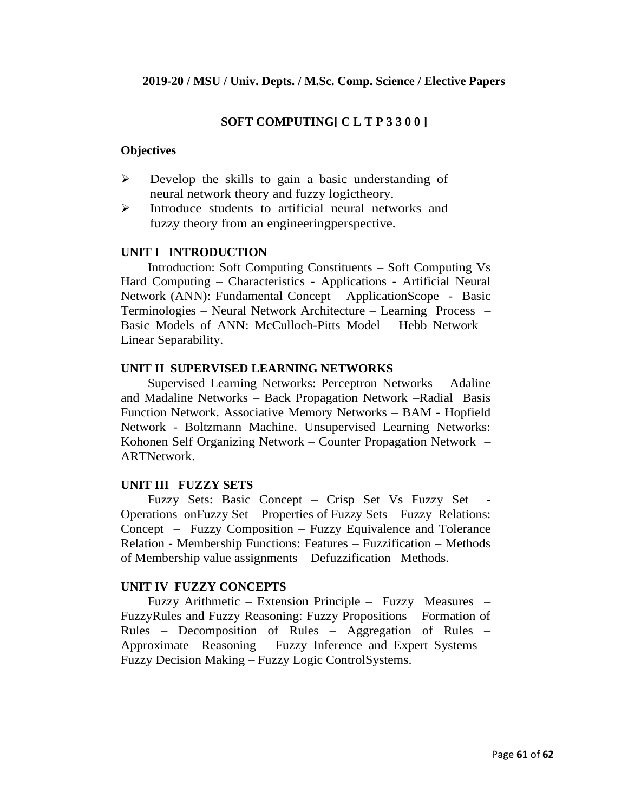#### **SOFT COMPUTING[ C L T P 3 3 0 0 ]**

#### **Objectives**

- ➢ Develop the skills to gain a basic understanding of neural network theory and fuzzy logictheory.
- ➢ Introduce students to artificial neural networks and fuzzy theory from an engineeringperspective.

#### **UNIT I INTRODUCTION**

Introduction: Soft Computing Constituents – Soft Computing Vs Hard Computing – Characteristics - Applications - Artificial Neural Network (ANN): Fundamental Concept – ApplicationScope - Basic Terminologies – Neural Network Architecture – Learning Process – Basic Models of ANN: McCulloch-Pitts Model – Hebb Network – Linear Separability.

#### **UNIT II SUPERVISED LEARNING NETWORKS**

Supervised Learning Networks: Perceptron Networks – Adaline and Madaline Networks – Back Propagation Network –Radial Basis Function Network. Associative Memory Networks – BAM - Hopfield Network - Boltzmann Machine. Unsupervised Learning Networks: Kohonen Self Organizing Network – Counter Propagation Network – ARTNetwork.

#### **UNIT III FUZZY SETS**

Fuzzy Sets: Basic Concept – Crisp Set Vs Fuzzy Set Operations onFuzzy Set – Properties of Fuzzy Sets– Fuzzy Relations: Concept – Fuzzy Composition – Fuzzy Equivalence and Tolerance Relation - Membership Functions: Features – Fuzzification – Methods of Membership value assignments – Defuzzification –Methods.

#### **UNIT IV FUZZY CONCEPTS**

Fuzzy Arithmetic – Extension Principle – Fuzzy Measures – FuzzyRules and Fuzzy Reasoning: Fuzzy Propositions – Formation of Rules – Decomposition of Rules – Aggregation of Rules – Approximate Reasoning – Fuzzy Inference and Expert Systems – Fuzzy Decision Making – Fuzzy Logic ControlSystems.